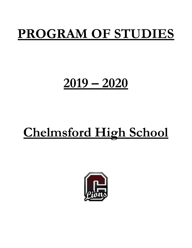# **PROGRAM OF STUDIES**

# **2019 – 2020**

# **Chelmsford High School**

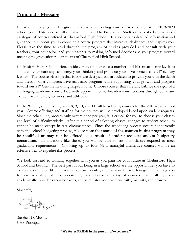## **Principal's Message**

In early February, you will begin the process of scheduling your course of study for the 2019-2020 school year. This process will culminate in June. The Program of Studies is published annually as a catalogue of courses offered at Chelmsford High School. It also contains detailed information and guidance to support you in choosing a course program that interests, challenges, and inspires you. Please take the time to read through the program of studies provided and consult with your teachers, your counselor, and your parents to making informed decisions as you progress toward meeting the graduation requirements of Chelmsford High School.

Chelmsford High School offers a wide variety of courses at a number of different academic levels to stimulate your curiosity, challenge your thinking, and promote your development as a 21<sup>st</sup> century learner. The course offerings that follow are designed and articulated to provide you with the depth and breadth of a comprehensive academic program while supporting your growth and progress toward our 21<sup>st</sup> Century Learning Expectations. Choose courses that carefully balance the rigor of a challenging academic course load with opportunities to broaden your horizons through our many extracurricular clubs, activities, and athletics.

In the Winter, students in grades 8, 9, 10, and 11 will be selecting courses for the 2019-2020 school year. Course offerings and staffing for the courses will be developed based upon student requests. Since the scheduling process only occurs once per year, it is critical for you to choose your classes and level of difficulty wisely. After this period of selecting classes, changes to student schedules cannot be made except in rare circumstances. Since the scheduling process occurs concurrently with the school budgeting process, **please note that some of the courses in this program may be modified or may not be offered as a result of student requests and/or budgetary constraints**. In situations like these, you will be able to enroll in classes required to meet graduation requirements. Choosing up to four (4) meaningful alternative courses will be an effective way to expedite this process.

We look forward to working together with you as you plan for your future at Chelmsford High School and beyond. The best part about being in a large school are the opportunities you have to explore a variety of different academic, co-curricular, and extracurricular offerings. I encourage you to take advantage of this opportunity, and choose an array of courses that challenges you academically, broadens your horizons, and stimulates your own curiosity, maturity, and growth.

Sincerely,

Daysman

Stephen D. Murray CHS Principal

**"We foster PRIDE in the pursuit of excellence."**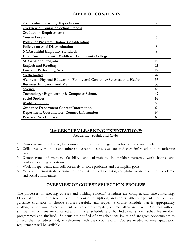## **TABLE OF CONTENTS**

| 21st Century Learning Expectations                                    | $\overline{2}$ |
|-----------------------------------------------------------------------|----------------|
| <b>Overview of Course Selection Process</b>                           | $\overline{2}$ |
| <b>Graduation Requirements</b>                                        | 4              |
| <b>Course Levels</b>                                                  | 5              |
| <b>Policy for Program Change Consideration</b>                        | 6              |
| Policies on Anti-Discrimination                                       | 8              |
| <b>NCAA Initial Eligibility Standards</b>                             | 9              |
| <b>Dual Enrollment with Middlesex Community College</b>               | 9              |
| <b>AP Capstone Program</b>                                            | 10             |
| <b>English and Reading</b>                                            | 11             |
| <b>Fine and Performing Arts</b>                                       | 19             |
| <b>Mathematics</b>                                                    | 27             |
| Wellness: Physical Education, Family and Consumer Science, and Health | 33             |
| <b>Business Education and Media</b>                                   | 38             |
| <b>Science</b>                                                        | 43             |
| <b>Technology/Engineering &amp; Computer Science</b>                  | 47             |
| <b>Social Studies</b>                                                 | 52             |
| <b>World Language</b>                                                 | 58             |
| <b>Guidance Department Contact Information</b>                        | 64             |
| <b>Department Coordinators' Contact Information</b>                   | 64             |
| <b>Practical Arts Courses</b>                                         | 65             |

## <span id="page-2-0"></span>**21st CENTURY LEARNING EXPECTATIONS**: **Academic, Social, and Civic**

- 1. Demonstrate trans-literacy by communicating across a range of platforms, tools, and media.
- 2. Utilize real-world tools and other resources to access, evaluate, and share information in an authentic task.
- 3. Demonstrate information, flexibility, and adaptability in thinking patterns, work habits, and working/learning conditions.
- 4. Work independently and collaboratively to solve problems and accomplish goals.
- 5. Value and demonstrate personal responsibility, ethical behavior, and global awareness in both academic and social communities.

## <span id="page-2-1"></span>**OVERVIEW OF COURSE SELECTION PROCESS**

The processes of selecting courses and building students' schedules are complex and time-consuming. Please take the time to read through the course descriptions, and confer with your parents, teachers, and guidance counselor to choose courses carefully and request a course schedule that is appropriately challenging for you. Once student requests are compiled, course tallies are taken. Courses without sufficient enrollment are cancelled and a master schedule is built. Individual student schedules are then programmed and finalized. Students are notified of any scheduling issues and are given opportunities to amend their schedules and/or selections with their counselors. Courses needed to meet graduation requirements will be available.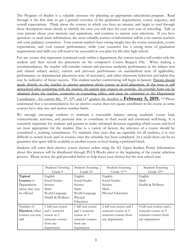The Program of Studies is a valuable resource for planning an appropriate educational program. Read through it the first time to get a general overview of the graduation requirements, course sequence, and overall expectations. Think about the courses in which you have an interest, and begin to read through these descriptions more closely to identify the ones you will elect for your next year of schooling. Talk to your parents about your interests and aspirations, and continue to narrow your selections. If you have questions or need more information, the most valuable sources of information will be your current teachers and your guidance counselors. Your current teachers have strong insight into the course curriculum, course expectations, and your current performance, while your counselor has a strong sense of graduation requirements and skills you will need to be successful as you plan for life after high school.

For any course that represents continued study within a department, the current teacher will confer with the student and then record the placement on the computer's Course Request File. When making a recommendation, the teacher will consider current and previous academic performance in the subject area and related subject area(s), current and previous performance on standardized tests (if applicable), performance on departmental placement tests (if necessary), and other classroom behaviors and habits that may be indicative of future success. This student-teacher conferencing will begin in January. Parents should speak directly to the teacher to answer questions about course or level placement. If the issue is still unresolved after conferring with the teacher, the parent may request an override. An override form can be obtained from the teacher, counselor or counseling office, and must be submitted to the Department Coordinator - for current 8th,  $9^{\text{th}}$ ,  $10^{\text{th}}$ , and  $11^{\text{th}}$  graders the deadline is **February 5, 2019.** \*\*\*Please understand that a recommendation for an elective course does not equate enrollment in the course as some courses have class size and section number limits.

We strongly encourage students to maintain a reasonable balance among academic course load, extracurricular activities, and personal time to contribute to their social and emotional well-being. It is extremely important for students and parents to make informed decisions regarding which course and level are most appropriate for the student. Due to a variety of factors, the selection of a course should be considered a yearlong commitment. To maintain class sizes that are equitable for all students, it is very difficult to switch levels and/or courses once the schedule has been completed. As a result there can be no guarantee that space will be available in another course or level during a preferred block.

Students will enter their elective course choices online using the X2 Aspen Student Portal. Information about this process will be distributed through PLUS Blocks prior to the beginning of the course selection process. Please review the grid provided below to help focus your choices for the next school year.

|                   | Students Entering  | <b>Students Entering</b> | <b>Students Entering</b> | <b>Students Entering</b>  |
|-------------------|--------------------|--------------------------|--------------------------|---------------------------|
|                   | Grade 9            | Grade 10                 | Grade 11**               | Grade 12**                |
| Typical           | English            | English                  | English                  | English                   |
| <b>Courses</b> or | Social Studies     | Social Studies           | Social Studies           | Math                      |
| Departments       | Science            | Science                  | Science                  | Health & Wellness         |
| where they may    | Math               | Math                     | Math                     |                           |
| be offered        | World Language     | World Language           | Physical Education       |                           |
|                   | Health & Wellness  | Physical                 |                          |                           |
|                   |                    | Education                |                          |                           |
| Number of         | 1 full year course | 1 full year course       | 2 full year course and 1 | 4 full year courses and a |
| Electives/other   | and 1 semester     | and 1 semester           | semester course or 5     | semester course or 9      |
| courses you may   | course or 3        | course or 3              | semester courses from    | semester courses from     |
| add               | semester courses   | semester courses         | any department           | any department            |
|                   | from any           | from any                 |                          |                           |
|                   | department         | department               |                          |                           |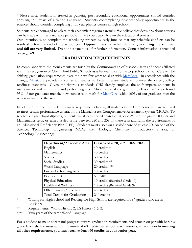\*\*Please note, students interested in pursuing post-secondary educational opportunities should consider enrolling in 3 years of a World Language. Students contemplating post-secondary opportunities in the sciences should consider completing a full year physics course in high school.

Students are encouraged to select their academic program carefully. We believe that decisions about courses can be made within a reasonable period of time to best capitalize on the educational process.

Our intention is to complete the scheduling process by early June so that any schedule conflicts can be resolved before the end of the school year. **Opportunities for schedule changes during the summer and fall are very limited.** Do not hesitate to call for further information. Contact information is provided on **page 69.**

## <span id="page-4-0"></span>**GRADUATION REQUIREMENTS**

In compliance with the requirements set forth by the Commonwealth of Massachusetts and those affiliated with the recognition of Chelmsford Public Schools as a Federal Race to the Top school district, CHS will be shifting graduation requirements over the next few years to align with [MassCore.](http://www.doe.mass.edu/ccr/masscore/qanda.pdf) In accordance with the change, [MassCore](http://www.doe.mass.edu/ccr/masscore/qanda.pdf) provides a course of studies to better prepare students to meet the career/college readiness standards. Given the rigorous standards CHS already employs, the shift impacts students in mathematics and in the fine and performing arts. After review of the graduating class of 2013, we found 93% of our graduates met the new standards in math for [MassCore,](http://www.doe.mass.edu/ccr/masscore/qanda.pdf) while 100% of our graduates met the new standards for the arts.

In addition to meeting the CHS course requirements below, all students in the Commonwealth are required to meet certain performance criteria on the Massachusetts Comprehensive Assessment System (MCAS). To receive a high school diploma, students must earn scaled scores of at least 240 on the grade 10 ELA and Mathematics tests, or earn a scaled score between 220 and 238 on these tests and fulfill the requirements of an Educational Proficiency Plan (EPP). Students must also earn a scaled score of at least 220 on one of the Science, Technology, Engineering MCAS (i.e., Biology, Chemistry, Introductory Physics, or Technology-Engineering).

| Department/Academic Area     | Classes of 2020, 2021, 2022, 2023 |
|------------------------------|-----------------------------------|
| English                      | 40 credits $*$                    |
| Mathematics                  | 40 credits                        |
| Science                      | 30 credits                        |
| Social Studies               | 30 credits **                     |
| World Language               | 20 credits ***                    |
| Fine & Performing Arts       | 10 credits                        |
| Practical Arts               | 5 credits                         |
| Physical Education           | 10 credits (Required Grade 10)    |
| Health and Wellness          | 10 credits (Required Grade 9)     |
| Other Courses/Electives      | 45 credits                        |
| Total Credits for Graduation | 240 credits                       |

- \* Writing for High School and Reading for High School are required for 9<sup>th</sup> graders who are in English 9.
- \*\* Requirements: World History 2, US History 1 & 2.
- \*\*\* Two years of the same World Language.

For a student to make successful progress toward graduation requirements and remain on par with her/his grade level, she/he must earn a minimum of 60 credits per school year. **Seniors, in addition to meeting all other requirements, you must earn at least 60 credits in your senior year.**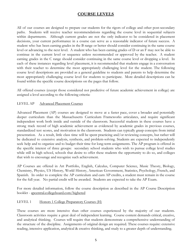## <span id="page-5-0"></span>**COURSE LEVELS**

All of our courses are designed to prepare our students for the rigors of college and other post-secondary paths. Students will receive teacher recommendations regarding the course level in sequential subjects within departments. Although current grades are not the only indicator to be considered in placement decisions, your current performance in a course can serve as a reasonable indicator of future success. A student who has been earning grades in the B range or better should consider continuing in the same course level or advancing to the next level. A student who has been earning grades of D or an F may not be able to continue in the current level or sequence unless recommended or approved by the teacher. A student earning grades in the C range should consider continuing in the same course level or dropping a level. In each of these instances regarding level placement, it is recommended that students engage in a conversation with their teacher to determine the most appropriately challenging level for the student. The following course level descriptions are provided as a general guideline to students and parents to help determine the most appropriately challenging course level for students to participate. More detailed descriptions can be found within the specific course descriptions on the pages that follow.

All offered courses (except those considered not predictive of future academic achievement in college) are assigned a level according to the following criteria:

#### LEVEL AP Advanced Placement Courses

Advanced Placement (AP) courses are designed to move at a faster pace, cover a broader and potentially deeper curriculum than the Massachusetts Curriculum Frameworks articulates, and require significant independent work both inside and outside of the classroom. Successful students in these courses have a strong track record of high academic achievement as evidenced by academic grades in previous courses, standardized test scores, and motivation in the classroom. Students can typically grasp concepts from initial presentation. As a result, little class time will be spent practicing and/or reviewing concepts, but rather will be dedicated to extensive analysis, synthesis, and problem-solving. Students are expected to independently seek help and to organize and to budget their time for long-term assignments. The AP program is offered in the specific interest of three groups: secondary school students who wish to pursue college level studies while still in high school, schools that desire to offer these students the opportunity to do so, and colleges that wish to encourage and recognize such achievement.

AP Courses are offered in Art Portfolio, English, Calculus, Computer Science, Music Theory, Biology, Chemistry, Physics, US History, World History, American Government, Statistics, Psychology, French, and Spanish. In order to complete the AP curriculum and earn AP credits, a student must remain in the course for the full year. No partial credit will be awarded. Students are expected to take the AP Exam.

For more detailed information, follow the course description as described in the AP Course Description booklet - apcentral.collegeboard.com/highered

#### LEVEL 1 Honors 1 College Preparatory Courses (H)

These courses are more intensive than other courses experienced by the majority of our students. Classroom activities require a great deal of independent learning. Course content demands critical, creative, and analytical thinking. Courses will require that students demonstrate a comprehensive understanding of the structure of the discipline. Assignments of original design are required. These courses require: extensive reading, intensive application, analytical & creative thinking, and study to a greater depth of understanding.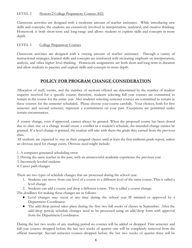#### LEVEL 2 Honors 2 College Preparatory Courses (H2)

Classroom activities are designed with a moderate amount of teacher assistance. While introducing new skills and concepts, the students are extensively involved in interpretation, analytical, and creative thinking. Homework is both short-term and long-range and allows students to explore skills and concepts in more depth.

#### LEVEL 3 College Preparatory Courses

Classroom activities are designed with a varying amount of teacher assistance. Through a variety of instructional strategies, learned skills and concepts are reinforced with increasing emphasis on interpretation, analysis, and other higher level thinking. Homework assignments are both short and long-term in duration and allow students to practice and explore skills and concepts in more depth.

## <span id="page-6-0"></span>**POLICY FOR PROGRAM CHANGE CONSIDERATION**

Allocation of staff, rooms, and the number of sections offered are determined by the number of student requests received for a specific course; therefore, students selecting full year courses are committed to remain in the course for the entire year. Also students selecting semester courses are committed to remain in these courses for the semester scheduled. Please choose your course carefully. Your choices, both for first semester and second semester, represent a commitment on your part. Exceptions are permitted under certain circumstances.

A course change, even if approved, cannot always be granted. When the proposed course has been closed due to class size or a change would create a conflict in a student's schedule, the intended change cannot be granted. If a level change is granted, the student will take with them the grade they earned from the previous class.

All students are expected to stay in their assigned classes until at least the first midterm grade report, unless an obvious need for change exists. Obvious need might include:

- 1. A computer generated scheduling error
- 2. Having the same teacher in the past, with an unsuccessful academic experience the previous year
- 3. Incorrectly leveled students
- 4. Career path changes

There are two types of schedule changes that are processed during the school year:

- 1. Students can move from one level of a course to a different level of the same course. This is called a level change.
- 2. Students can add a course and drop a different course. This is called a course change.

The deadlines for making these changes are as follows:

- Level changes may occur at any time during the school year IF initiated or approved by a Department Coordinator.
- **●** The add/drop period takes place during the first two full weeks of classes in September. After the add/drop period, schedule changes need to be processed using an add/drop form with approval from the Department Coordinator.

During the last two weeks of any marking period no courses will be added or dropped. First semester and full-year courses dropped before the last two weeks of quarter one will be completely removed from the official transcript. Second semester courses dropped before the last two weeks of quarter three will be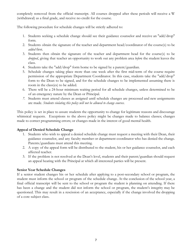completely removed from the official transcript. All courses dropped after these periods will receive a W (withdrawal) as a final grade, and receive no credit for the course.

The following procedure for schedule changes will be strictly adhered to:

- 1. Students seeking a schedule change should see their guidance counselor and receive an "add/drop" form.
- 2. Students obtain the signature of the teacher and department head/coordinator of the course(s) to be *added* first.
- 3. Students then obtain the signature of the teacher and department head for the course(s) to be *dropped*, giving that teacher an opportunity to work out any problem area *befor*e the student leaves the class.
- 4. Students take the "add/drop" form home to be signed by a parent/guardian.
- 5. Schedule changes taking place more than one week after the first mid-term of the course require permission of the appropriate Department Coordinator. In this case, students take the "add/drop" form to the Dean to be signed, and for the schedule changes to be implemented assuming there is room in the class(es) to be added.
- 6. There will be a 24-hour minimum waiting period for all schedule changes, unless determined to be of an emergency nature by the Dean or Principal.
- *7.* Students must attend classes as assigned until schedule changes are processed and new assignments are made. *Students violating this policy will not be allowed to change courses.*

This policy is set in place to assure students the opportunity to change for legitimate reasons and discourage whimsical requests. Exceptions to the above policy might be changes made to balance classes; changes made to correct programming errors; or changes made in the interest of good mental health.

#### **Appeal of Denied Schedule Change**

- 1. Students who wish to appeal a denied schedule change must request a meeting with their Dean, their guidance counselor, and any faculty member or department coordinator who has denied the change. Parents/guardians must attend this meeting.
- 2. A copy of the appeal form will be distributed to the student, his or her guidance counselor, and each affected teacher.
- 3. If the problem is not resolved at the Dean's level, students and their parent/guardian should request an appeal hearing with the Principal at which all interested parties will be present.

#### **Senior Year Schedule Changes**

If a senior student changes his or her schedule after applying to a post-secondary school or program, the student must inform the school or program of the schedule change. At the conclusion of the school year, a final official transcript will be sent to the school or program the student is planning on attending. If there has been a change and the student did not inform the school or program, the student's integrity may be questioned. This may result in a rescission of an acceptance, especially if the change involved the dropping of a core subject class.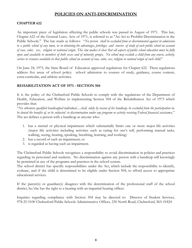## <span id="page-8-0"></span>**POLICIES ON ANTI-DISCRIMINATION**

#### **CHAPTER 622**

An important piece of legislation affecting the public schools was passed in August of 1971. This law, Chapter 622 of the General Laws, Acts of 1971, is referred to as "An Act to Prohibit Discrimination in the Public Schools." The law reads as follows: "*No person shall be excluded from or discriminated against in admission* to a public school of any town, or in obtaining the advantages, privileges and courses of study of such public school on account of race, color, sex, religion or national origin. This law makes it clear that all aspects of public school education must be fully open and available to members of both sexes and of minority groups. No school may exclude a child from any course, activity, *service or resource available in that public school on account of race, color, sex, religion or natural origin of such child*."

On June 24, 1975, the State Board of Education approved regulations for Chapter 622. These regulations address five areas of school policy: school admission to courses of study, guidance, course content, extra-curricular, and athletic activities.

#### **REHABILITATION ACT OF 1973 - SECTION 504**

It is the policy of the Chelmsford Public Schools to comply with the regulations of the Department of Health, Education, and Welfare in implementing Section 504 of the Rehabilitation Act of 1973 which provides that:

"No otherwise qualified handicapped individual....shall, solely by reason of his handicap, be excluded from the participation in, be denied the benefits of, or be subjected to discrimination under any program or activity receiving Federal financial assistance." The act defines a person with a handicap as anyone who:

- 1. has a mental or physical impairment which substantially limits one or more major life activities (major life activities including activities such as caring for one's self, performing manual tasks, walking, seeing, hearing, speaking, breathing, learning, and working)
- 2. has a record of such an impairment; or
- 3. is regarded as having such an impairment.

The Chelmsford Public Schools recognizes a responsibility to avoid discrimination in policies and practices regarding its personnel and students. No discrimination against any person with a handicap will knowingly be permitted in any of the programs and practices in the school system.

The school district has specific responsibilities under the Act, which include the responsibility to identify, evaluate, and if the child is determined to be eligible under Section 504, to afford access to appropriate educational services.

If the parent(s) or guardian(s) disagrees with the determination of the professional staff of the school district, he/she has the right to a hearing with an impartial hearing officer.

Inquiries regarding compliance with Section 504 may be directed to: Director of Student Services, 978-25-5100 Chelmsford Public Schools Administrative Offices, 230 North Road, Chelmsford, MA 01824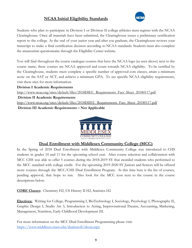## **NCAA Initial Eligibility Standards**



Students who plan to participate in Division I or Division II college athletics must register with the NCAA Clearinghouse. Once all materials have been submitted, the Clearinghouse issues a preliminary certification report to the college. At the end of your junior year and after you graduate, the Clearinghouse reviews your transcript to make a final certification decision according to NCAA standards. Students must also complete the amateurism questionnaire through the Eligibility Center website.

You will find throughout the course catalogue courses that have the NCAA logo (as seen above) next to the course name; these courses are NCAA approved and count towards NCAA eligibility. To be certified by the Clearinghouse, students must complete a specific number of approved core classes, attain a minimum score on the SAT or ACT, and achieve a minimum GPA. To see specific NCAA eligibility requirements, visit these sites for more information:

**Division I Academic Requirement[s](http://www.ncaa.org/sites/default/files/2018DIEC_Requirements_Fact_Sheet_20180117.pdf)**

[http://www.ncaa.org/sites/default/files/2018DIEC\\_Requirements\\_Fact\\_Sheet\\_20180117.pdf](http://www.ncaa.org/sites/default/files/2018DIEC_Requirements_Fact_Sheet_20180117.pdf) **Division II Academic Requirements** [http://www.ncaa.org/sites/default/files/2018DIIEC\\_Requirements\\_Fact\\_Sheet\\_20180117.pdf](http://www.ncaa.org/sites/default/files/2018DIIEC_Requirements_Fact_Sheet_20180117.pdf) **Division III Academic Requirements – Not Applicable**



## **Dual Enrollment with Middlesex Community College (MCC)**

In the Spring of 2018 Dual Enrollment with Middlesex Community College was introduced to CHS students in grades 10 and 11 for the upcoming school year. After course selection and collaboration with MCC CHS was able to offer 5 courses during the 2018-2019 SY that awarded students who performed to the MCC standard with college credit. For the upcoming 2019-2020 SY Juniors and Seniors will be offered more courses through the MCC/CHS Dual Enrollment Program. At this time here is the list of courses, pending approval, that hope to run. Also look for the MCC icon next to the course in the course descriptions below.

**CORE Classes**: Chemistry H2, US History II H2, Statistics H2

**Electives:** Writing for College, Programming I, BioTechnology I, Sociology, Psychology I, Photography II, Graphic Design I, Studio Art 3, Introduction to Acting, Improvisational Theatre, Accounting, Marketing, Management, Nutrition, Early Childhood Development III.

For more information on the MCC Dual Enrollment Programming please visit: <https://www.middlesex.mass.edu/dualenroll/about.aspx>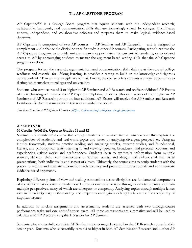#### <span id="page-10-0"></span>**The AP CAPSTONE PROGRAM**

AP Capstone™ is a College Board program that equips students with the independent research, collaborative teamwork, and communication skills that are increasingly valued by colleges. It cultivates curious, independent, and collaborative scholars and prepares them to make logical, evidence-based decisions.

AP Capstone is comprised of two AP courses — AP Seminar and AP Research — and is designed to complement and enhance the discipline-specific study in other AP courses. Participating schools can use the AP Capstone program to provide unique research opportunities for current AP students, or to expand access to AP by encouraging students to master the argument-based writing skills that the AP Capstone program develops.

The program fosters the research, argumentation, and communication skills that are at the core of college readiness and essential for lifelong learning. It provides a setting to build on the knowledge and rigorous coursework of AP in an interdisciplinary format. Finally, the course offers students a unique opportunity to distinguish themselves to colleges and universities.

Students who earn scores of 3 or higher in AP Seminar and AP Research and on four additional AP Exams of their choosing will receive the AP Capstone Diploma. Students who earn scores of 3 or higher in AP Seminar and AP Research but not on four additional AP Exams will receive the AP Seminar and Research Certificate. AP Seminar may also be taken as a stand-alone option.

*Selections from the AP Capstone Overview: <https://advancesinap.collegeboard.org/ap-capstone>*

#### **AP SEMINAR**

#### **10 Credits (#06113), Open to Grades 11 and 12**

Seminar is a foundational course that engages students in cross-curricular conversations that explore the complexities of academic and real-world topics and issues by analyzing divergent perspectives. Using an inquiry framework, students practice reading and analyzing articles, research studies, and foundational, literary, and philosophical texts; listening to and viewing speeches, broadcasts, and personal accounts; and experiencing artistic works and performances. Students learn to synthesize information from multiple sources, develop their own perspectives in written essays, and design and deliver oral and visual presentations, both individually and as part of a team. Ultimately, the course aims to equip students with the power to analyze and evaluate information with accuracy and precision in order to craft and communicate evidence-based arguments.

Exploring different points of view and making connections across disciplines are fundamental components of the AP Seminar experience. Students will consider one topic or issue through a variety of lenses and from multiple perspectives, many of which are divergent or competing. Analyzing topics through multiple lenses aids in interdisciplinary understanding and helps students gain a rich appreciation for the complexity of important issues.

In addition to in-class assignments and assessments, students are assessed with two through-course performance tasks and one end-of-course exam. All three assessments are summative and will be used to calculate a final AP score (using the 1–5 scale) for AP Seminar.

Students who successfully complete AP Seminar are encouraged to enroll in the AP Research course in their senior year. Students who successfully earn a 3 or higher in both AP Seminar and Research and 4 other AP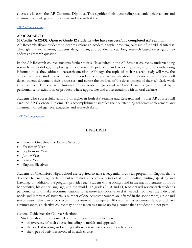courses will earn the AP Capstone Diploma. This signifies their outstanding academic achievement and attainment of college-level academic and research skills.

*[AP Capstone Guide](https://apcentral.collegeboard.org/pdf/ap-capstone-implementation-guide-2018-19.pdf)*

#### **AP RESEARCH**

#### **10 Credits (#32013), Open to Grade 12 students who have successfully completed AP Seminar**

AP Research allows students to deeply explore an academic topic, problem, or issue of individual interest. Through this exploration, students design, plan, and conduct a year-long research based investigation to address a research question.

In the AP Research course, students further their skills acquired in the AP Seminar course by understanding research methodology; employing ethical research practices; and accessing, analyzing, and synthesizing information as they address a research question. Although the topic of each research study will vary, the course requires students to plan and conduct a study or investigation. Students explore their skill development, document their processes, and curate the artifacts of the development of their scholarly work in a portfolio.The course culminates in an academic paper of 4000–5000 words (accompanied by a performance or exhibition of product, where applicable) and a presentation with an oral defense.

Students who successfully earn a 3 or higher in both AP Seminar and Research and 4 other AP courses will earn the AP Capstone Diploma. This accomplishment signifies their outstanding academic achievement and attainment of college-level academic and research skills.

*[AP Capstone Guide](https://apcentral.collegeboard.org/pdf/ap-capstone-implementation-guide-2018-19.pdf)*

## <span id="page-11-0"></span>**ENGLISH**

- **●** General Guidelines for Course Selection
- **●** Freshman Year
- **●** Sophomore Year
- **●** Junior Year
- **●** Senior Year
- **●** English Electives

Students at Chelmsford High School are required to take a sequential four-year program in English that is designed to encourage each student to master a successive series of skills in reading, writing, speaking and listening. In addition, the program provides each student with a background in the major literature of his or her country, his or her language, and the world. In grades 9, 10, and 11, teachers will review each student's performance and make recommendations for a more appropriate level if needed. To meet the individual needs and interests of students, a number of one-semester courses are offered in the sophomore, junior and senior years, which may be elected in addition to the required 10 credit semester course. Under ordinary circumstances, an elective course may not be taken as a make-up for a course that a student did not pass.

General Guidelines for Course Selection:

1. Students should read course descriptions very carefully to learn:

- an overview of each course, including materials and approach
- the level of reading and writing skills necessary for success in each course
- the types of activities involved in each course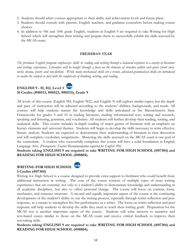- 2. Students should select courses appropriate to their ability and achievement levels and future plans.
- 3. Students should consult with parents, English teachers, and guidance counselors before making course choices.
- 4. In addition to 9th and 10th grade English, students in English 9 are required to take Writing for High School which will strengthen their writing and prepare them to successfully exhibit the skills assessed by the MCAS exam.

#### *FRESHMAN YEAR*

The freshman English program emphasizes skills in reading and writing through a balanced exposure to a variety of literature and writing experiences. Literature will be taught through a focus on the elements of structure within each genre (short story, novel, drama, poetry and non-fiction). While many mechanical skills are a review, advanced grammatical skills are introduced *to enable the student to deal with the complexity of thinking, writing, and reading.*

## **ENGLISH 9 - H, H2, Level 3 10 Credits (#00513, #00523, #00533), Grade 9**

All levels of this course (English 9H, English 9H2, and English 9) will explore similar topics, but the depth and pace of instruction will be adjusted according to the students' abilities, backgrounds, and needs. All courses will help students master the knowledge and skills articulated in the Massachusetts State Frameworks for grades 9 and 10 in reading literature, reading informational text, writing and research, speaking and listening, grammar, and vocabulary. All students will further develop their reading, writing, and analytical skills. This course includes in-depth reading of major genres of literature with an emphasis on literary elements and universal themes. Students will begin to develop the skills necessary to write effective literary analysis. Students are expected to demonstrate their understanding of literature in class discussion and will complete vocabulary assignments. Mastering the skills assessed on the MCAS exam is one goal of the curriculum. A student who successfully completes this course will have a solid foundation in English Language Arts. *(Prerequisite: Teacher Recommendation required for English 9H)*

**Students taking ENGLISH 9 are required to take WRITING FOR HIGH SCHOOL (#07304) and READING FOR HIGH SCHOOL (#08804).**

## **WRITING FOR HIGH SCHOOL**



**5 Credits (#07304)**

Writing for High School is a course designed to provide extra support to freshmen who could benefit from additional instruction in writing. The core of the course consists of multiple types of essay writing experiences that are essential, not only to a student's ability to demonstrate knowledge and understanding in all academic disciplines, but also to effect personal change. The course will focus on content, form, mechanics, and sentence structure. A second and equally important aspect of the course is the continuing development of the student's ability to use the writing process, especially through writer reflection and peer response, as a means to strengthen his/her performance as a writer. The focus on writer reflection and peer response will help students to develop the skills they need to reach their writing goals. Preparation for the MCAS test is another important aspect of the course. Students will write answers to narrative and text-based essays similar to those on the MCAS exam and receive critical feedback to improve their test-taking skills.

**Students taking ENGLISH 9 are required to take WRITING FOR HIGH SCHOOL (#07304) and READING FOR HIGH SCHOOL (#08804).**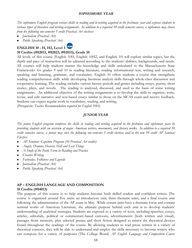#### *SOPHOMORE YEAR*

The sophomore English program reviews skills in reading and in writing acquired in the freshman year and exposes students to various types of literature and writing assignments. In addition to a required 10 credit semester course, a sophomore may choose *from the following one-semester 5 credit Practical Art electives:*

- *● Journalism (Practical Art)*
- *Public Speaking (Practical Art)*

## **ENGLISH 10 - H, H2, Level 3**

#### **10 Credits (#02013, #02023, #02033), Grade 10**

All levels of this course (English 10H, English 10H2, and English 10) will explore similar topics, but the depth and pace of instruction will be adjusted according to the students' abilities, backgrounds, and needs. All courses will help students master the knowledge and skills articulated in the Massachusetts State Frameworks for grades 9 and 10 in reading literature, reading informational text, writing and research, speaking and listening, grammar, and vocabulary. English 10 offers students a course that strengthens reading comprehension skills while developing literature analysis skills through whole-class discussion and cooperative learning. The reading includes various literary periods and genres including essays, poems, short stories, plays, and novels. The reading is analyzed, discussed, and used as the basis of some writing assignments. An additional objective of the writing assignments is to develop the skills to organize, write, revise, and edit narrative and text-based essays similar to those on the MCAS exam and receive feedback. Students can expect regular work in vocabulary, reading, and writing.

*(Prerequisite: Teacher Recommendation required for English 10H)*

#### *JUNIOR YEAR*

The junior English program reinforces the skills in reading and writing acquired in the freshman and sophomore years by providing students with an overview of major American writers, movements, and literary works. In addition to a required 10 credit semester course, a junior may elect the following one-semester 5 credit electives and/or the new 10 credit AP Seminar *Elective:*

- *● AP Seminar- Capstone Program (10 Practical Art credits)*
- *● Angels, Demons, Heaven, Hell and Last Things*
- *● A Study of the Poetic Form in Reading and Practice*
- *● Creative Writing*
- *● Fairytales, Folklores and Legends*
- *● Journalism (Practical Art)*
- *● Public Speaking (Practical Art)*

#### **AP – ENGLISH LANGUAGE AND COMPOSITION 10 Credits (#04013)**

The purpose of this course is to help students become both skilled readers and confident writers. The course is organized around five units: an introductory unit, three thematic units, and a final course unit following the administration of the AP exam in May. While certain units have a thematic focus and contain seminal works of American Literature, the ultimate purpose behind each unit is to develop students' understanding of analytical strategies. Students are exposed to a variety of texts, including speeches, essays, articles, editorials, political or commentary-based cartoons, advertisements (both written and visual), passages from memoirs, plus selected poems and short fiction designed to mirror the rhetorical devices found throughout the readings of the course. By allowing students to read prose written in a variety of rhetorical contexts, they will be able to understand and employ the skills necessary to become writers who can compose for a variety of purposes (The College Board, *AP English Language and Composition Course*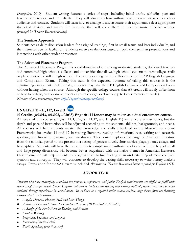*Description*, 2010). Student writing features a series of steps, including initial drafts, self-edits, peer and teacher conferences, and final drafts. They will also study how authors take into account aspects such as audience and context. Students will learn how to arrange ideas, structure their arguments, select appropriate rhetorical devices, and master the language that will allow them to become more effective writers. *(Prerequisite: Teacher Recommendation)*

#### **The Seminar Approach**

Students act as daily discussion leaders for assigned readings, first in small teams and later individually, and the instructor acts as facilitator. Students receive evaluations based on both their seminar presentations and interactions with other student presenters.

#### **The Advanced Placement Program**

The Advanced Placement Program is a collaborative effort among motivated students, dedicated teachers and committed high schools, colleges and universities that allows high school students to earn college credit or placement while still in high school. The corresponding exam for this course is the AP English Language and Composition Exam. Taking this exam is the expected outcome of taking this course; it is the culminating assessment. Additionally, students may take the AP English Language and Composition Exam without having taken the course. Although the specific college courses that AP credit will satisfy differ from college to college, each exam represents a year's college-level work (up to two semesters of credit). (*Condensed and summarized from: [http://apcentral.collegeboard.com](http://apcentral.collegeboard.com/))*

## **ENGLISH 11 - H, H2, Level 3**

**10 Credits (#03013, #03023, #03033) English 11 Honors may be taken as a dual enrollment course.**

All levels of this course (English 11H, English 11H2, and English 11) will explore similar topics, but the depth and pace of instruction will be adjusted according to the students' abilities, backgrounds, and needs. All courses will help students master the knowledge and skills articulated in the Massachusetts State Frameworks for grades 11 and 12 in reading literature, reading informational text, writing and research, speaking and listening, grammar, and vocabulary. This course explores the range of American literature from the colonial period to the present in a variety of genres: novels, short stories, plays, poems, essays, and biographies. Students will have the opportunity to sample major authors' works and, with the help of small and large group discussion, will become better acquainted with the major themes in American literature. Class instruction will help students to progress from factual reading to an understanding of more complex symbols and concepts. They will continue to develop the writing skills necessary to write literary analysis essays. Preparation for the SAT exam is included. *(Prerequisite: Teacher Recommendation required for English 11H)*

#### *SENIOR YEAR*

Students who have successfully completed the freshman, sophomore, and junior English requirements are eligible to fulfill their senior English requirement. Senior English continues to build on the reading and writing skills of previous years and broaden students' literary experiences in several areas. In addition to a required senior course, students may choose from the following *one-semester 5 credit electives:*

- *● Angels, Demons, Heaven, Hell and Last Things*
- *● Advanced Placement Research Capstone Program (10 Practical Art Credits)*
- *● A Study of the Poetic Form in Reading and Practice*
- *● Creative Writing*
- *● Fairytales, Folklores and Legends*
- *● Journalism(Practical Art)*
- *● Public Speaking (Practical Art)*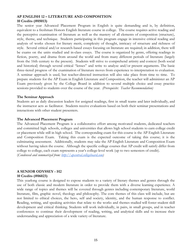#### **AP ENGLISH 12 – LITERATURE AND COMPOSITION 10 Credits (#05013)**

The senior year Advanced Placement Program in English is quite demanding and is, by definition, equivalent to a freshman Honors English literature course in college. The course requires active reading and the perceptive examination of literature as well as the mastery of all elements of composition (structure), style, theme, and technique. Students participating in this program engage in intensive critical reading and analysis of works chosen for literary merit, complexity of thought, intricacy of structure and richness of style. Several critical and/or research-based essays focusing on literature are required; in addition, there will be exams on the units studied and in-class essays. The course is organized by genre, offering readings in fiction, poetry, and drama from around the world and from many different periods of literature (largely from the 16th century to the present). Students will strive to comprehend artistry and context (both social and historical) through several critical "lenses" and write to analyze and/or present arguments. The basic three-tiered progress of the examination of literature moves from experience to interpretation to evaluation. A seminar approach is used, but teacher-directed instruction will also take place from time to time. To prepare students for the AP Exam in English Literature and Composition, the teacher will administer an AP Exam previously given by the College Board in addition to several multiple choice and essay practice sessions provided to students over the course of the year. *(Prerequisite: Teacher Recommendation)*

#### **The Seminar Approach**

Students act as daily discussion leaders for assigned readings, first in small teams and later individually, and the instructor acts as facilitator. Students receive evaluations based on both their seminar presentations and interactions with other student presenters.

#### **The Advanced Placement Program**

The Advanced Placement Program is a collaborative effort among motivated students, dedicated teachers and committed high schools, colleges and universities that allows high school students to earn college credit or placement while still in high school. The corresponding exam for this course is the AP English Literature and Composition Exam. Taking this exam is the expected outcome of taking this course; it is the culminating assessment. Additionally, students may take the AP English Literature and Composition Exam without having taken the course. Although the specific college courses that AP credit will satisfy differ from college to college, each exam represents a year's college-level work (up to two semesters of credit). (*Condensed and summarized from: [http://apcentral.collegeboard.com](http://apcentral.collegeboard.com/))*

## **A SENIOR ODYSSEY - H2**

#### **10 Credits (#06023)**

This yearlong course is designed to expose students to a variety of literary themes and genres through the use of both classic and modern literature in order to provide them with a diverse learning experience. A wide range of topics and themes will be covered through genres including contemporary literature, world literature, film, graphic novel, theology and philosophy. The core themes of this class will include, but are not limited to ethical choices, the hero, self and society, identity, and the human response to conflict. Reading, writing, and speaking activities that relate to the works and themes studied will foster student skill development and critical thinking. Students will work individually, in pairs, in small groups, and in teacher conferences to continue their development of reading, writing, and analytical skills and to increase their understanding and appreciation of a wide variety of literature.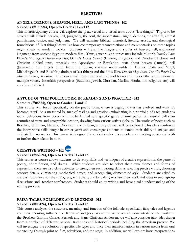#### **ELECTIVES**

#### **ANGELS, DEMONS, HEAVEN, HELL, AND LAST THINGS -H2 5 Credits (# 06224), Open to Grades 11 and 12**

This interdisciplinary course will explore the great verbal and visual texts about "last things." Topics to be covered will include heaven, hell, purgatory, the soul, the supernatural, angels, demons, the afterlife, eternal punishment, justice, and judgment. We will examine biblical, historical, literary, artistic, and theological foundations of "last things" as well as how contemporary reconstructions and commentaries on these topics might speak to modern society. Students will examine images and stories of heaven, hell, and moral judgment from ancient Egypt to modern film. Texts, artwork, and topics may include Milton's *Paradise Lost*; Blake's *Marriage of Heaven and Hell*; Dante's *Divine Comedy* (Inferno, Purgatory, and Paradise); Hebrew and Christian biblical texts, especially the Apocalypse or Revelation; texts about heaven (Jannah), hell (Jahannam) and angels (jinn) from the Quran; classical underworlds in Homer, Plato and Virgil; Michelangelo's and Bosch's paintings of last things; and the films *What Dreams May Come*, *The Five People You Meet in Heaven*, or *Ghost*. This course will honor multicultural worldviews and respect the contributions of multiple voices. Interfaith perspectives (Buddhist, Jewish, Christian, Muslim, Hindu, non-religious, etc.) will also be considered.

#### **A STUDY OF THE POETIC FORM IN READING AND PRACTICE - H2**

#### **5 credits (#06324), Open to Grades 11 and 12**

This course will focus specifically on the poetic form, where it began, how it has evolved and what it's become; it will be a measured balance of reading and creation, culminating in a portfolio of each student's work. Selections from poetry will not be limited to a specific genre or time period but instead will span centuries of verse and geographic location, drawing from various artists globally. The works of poets such as Roethke, Whitman, Neruda, Dickinson and Gibran, among others, will be explored. This class reinforces the interpretive skills taught in earlier years and encourages students to extend their ability to analyze and evaluate literary works. This course is designed for students who enjoy reading and writing poetry and wish to further their talents in both.

## **CREATIVE WRITING – H2**

#### **5 Credits (#07624), Open to Grades 11 and 12**

This semester course allows students to develop skills and techniques of creative expression in the genre of poetry, short fiction, and drama. While students are able to select their own themes and forms of expression, there are also class activities to strengthen such writing skills as selecting precise words, choosing sensory details, eliminating mechanical errors, and recognizing elements of style. Students are asked to establish deadlines for their progress, write daily, and be willing to share their work and ideas in small group discussions and teacher conferences. Students should enjoy writing and have a solid understanding of the writing process.

## **FAIRY TALES, FOLKLORE AND LEGENDS - H2**

#### **5 Credits (#06424), Open to Grades 11 and 12**

This course analyzes the structure, meaning, and function of the folk tale, specifically fairy tales and legends and their enduring influence on literature and popular culture. While we will concentrate on the works of the Brothers Grimm, Charles Perrault and Hans Christian Andersen, we will also consider fairy tales drawn from a number of different national traditions and historical periods including the American present. We will investigate the evolution of specific tale types and trace their transformations in various media from oral storytelling through print to film, television, and the stage. In addition, we will explore how interpretations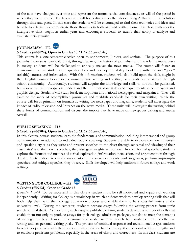of the tales have changed over time and represent the norms, social consciousness, or will of the period in which they were created. The legend unit will focus directly on the tales of King Arthur and his evolution through time and place. In this class the students will be encouraged to find their own voice and ideas and be able to effectively communicate those thoughts in both oral and written form. This class reinforces the interpretive skills taught in earlier years and encourages students to extend their ability to analyze and evaluate literary works.

#### **JOURNALISM – H2**



#### **5 Credits (#07024), Open to Grades 10, 11, 12** *(Practical Art)*

This course is a one-semester elective open to sophomores, juniors, and seniors. The purpose of this journalism course is two-fold. First, through learning the history of journalism and the role the media plays in society, students will be challenged to critically analyze the news media. The course will foster an environment where students can question bias and develop the ability to identify authentic and "good" (reliable) sources and information. With this information, students will also build upon the skills taught in their English courses to experience non-academic writing and writing for an audience outside of the high school community. Additionally, students will acquire the knowledge and skills to not only be published, but also to publish newspapers, understand the different story styles and requirements, execute layout and graphic design. Students will study local, metropolitan and national newspapers and magazines. They will examine the work of accomplished journalists and establish standards for their own writing. While the course will focus primarily on journalistic writing for newspaper and magazine, students will investigate the impact of radio, television and Internet on the news media. These units will investigate the writing behind these forms of communication and discuss the impact they have made on newspaper writing and media overall.

#### **PUBLIC SPEAKING – H2**

#### **5 Credits (#07704), Open to Grades 10, 11, 12** *(Practical Art)*

In this elective course students learn the fundamentals of communication including interpersonal and group communication in addition to individual public speaking. Students are able to explore their own interests and speaking styles as they write and present speeches to the class; through rehearsal and viewing of their classmates' and their own speeches, they also gain insights as listeners. In their formal speeches, students explore the formats and nuances of verbal explanation, information, persuasion, and argumentation through debate. Participation is a vital component of the course as students work in groups, perform impromptu speeches, and critique speeches they observe. Skills developed will help students in future college and work settings.

#### **WRITING FOR COLLEGE – H2 5 Credits (#07121), Open to Grade 12**



*(Semester 1 only)* To be successful in this class a student must be self-motivated and capable of working independently. Writing for College is a workshop in which students work to develop writing skills that will both help them with their college application process and enable them to be successful writers at the university level. During the semester, students prepare essays following the writing process from topic search to final draft. As they bring each essay to publishable form, students develop a number of skills that enable them not only to produce essays for their college admission packages, but also to meet the demands of writing in college classes. Professional and student-written models help students to define effective writing and set personal writing goals. The process of continual response and revision encourages students to work cooperatively with their peers and with their teacher to develop their personal writing strengths and to eradicate persistent problems, especially in the areas of clarity and correctness. In this class, students are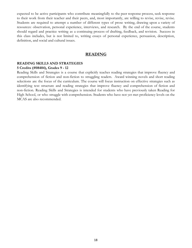expected to be active participants who contribute meaningfully to the peer response process, seek response to their work from their teacher and their peers, and, most importantly, are willing to revise, revise, revise. Students are required to attempt a number of different types of prose writing, drawing upon a variety of resources: observation, personal experience, interviews, and research. By the end of the course, students should regard and practice writing as a continuing process of drafting, feedback, and revision. Success in this class includes, but is not limited to, writing essays of personal experience, persuasion, description, definition, and social and cultural issues.

#### **READING**

#### **READING SKILLS AND STRATEGIES 5 Credits (#08404), Grades 9 - 12**

Reading Skills and Strategies is a course that explicitly teaches reading strategies that improve fluency and comprehension of fiction and non-fiction to struggling readers. Award winning novels and short reading selections are the focus of the curriculum. The course will focus instruction on effective strategies such as identifying text structure and reading strategies that improve fluency and comprehension of fiction and non-fiction. Reading Skills and Strategies is intended for students who have previously taken Reading for High School, or who struggle with comprehension. Students who have not yet met proficiency levels on the MCAS are also recommended.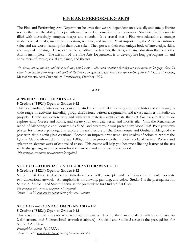#### <span id="page-19-0"></span>**FINE AND PERFORMING ARTS**

The Fine and Performing Arts Department believes that we are dependent on a visually and aurally literate society that has the ability to cope with multifaceted information and experiences. Students live in a society filled with increasingly complex images and sounds. It is crucial that a Fine Arts education encourage students to take risks, investigate, question, redefine, and invent. Most importantly, the Arts have intrinsic value and are worth learning for their own sake. They possess their own unique body of knowledge, skills, and ways of thinking. There can be no substitute for learning the Arts, and any education that omits the Arts is incomplete. The mission of the Fine Arts Department is to develop life-long participants in, and consumers of, music, visual art, dance, and theater.

'In dance, music, theater, and the visual arts, people express ideas and emotions that they cannot express in language alone. In order to understand the range and depth of the human imagination, one must have knowledge of the arts." Core Concept, Massachusetts Arts Curriculum Framework, October 1999.

#### **ART**

#### **APPRECIATING THE ARTS – H2 5 Credits (#51924) Open to Grades 9-12**

This is a hands-on, introductory course for students interested in learning about the history of art through a wide range of activities including group discussions, written assignments, and a vast number of studio art projects. Come and explore why and with what materials artists create their art. Go back in time as we explore early Greece and Rome, and create your own clay vessel and mosaic tile. Visit the Renaissance world of Michelangelo and Leonardo da Vinci, and create your own present-day Mona Lisa! Pour your own plaster for a fresco painting, and explore the architecture of the Romanesque and Gothic buildings of the past with simple stain glass creations. Become an Impressionist artist using strokes of colors to capture the light as Claude Monet did in the late 1800s, and then jump into the modern world of Jackson Pollack and splatter an abstract work of controlled chaos. This course will help you become a lifelong learner of the arts while also gaining an appreciation for the materials and art of each time period.

*No previous art course or experience is required.*

## **STUDIO 1 —FOUNDATION COLOR AND DRAWING – H2**

#### **5 Credits (#51224) Open to Grades 9-12**

Studio 1 Art Class is designed to introduce basic skills, concepts, and techniques for students to create two-dimensional artwork. An emphasis is on drawing, painting, and color. Studio 1 is the prerequisite for Studio 2. Studio 1 and Studio 2 serve as the prerequisite for Studio 3 Art Class.

*No previous art course or experience is required. Studio 1 and 2 may not be taken during the same semester.*

## **STUDIO 2 —FOUNDATION 2D AND 3D – H2**

#### **5 Credits (#51524) Open to Grades 9-12**

This class is for all students who wish to continue to develop their artistic skills with an emphasis on 2-dimensional and 3-dimensional artwork (sculpture). Studio 1 and Studio 2 serve as the prerequisites for Studio 3 Art Class.

*Prerequisite: Studio 1(#51224). Studio 1 and 2 may not be taken during the same semester.*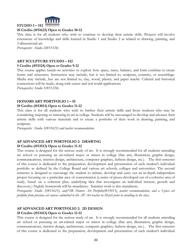

#### **10 Credits (#51623) Open to Grades 10-12**

This class is for all students who wish to continue to develop their artistic skills. Projects will involve extensions of knowledge and skills learned in Studio 1 and Studio 2 as related to drawing, painting, and 3-dimensional art.

*Prerequisite: Studio 2(#51524)*

#### **ART SCULPTURE STUDIO – H2**

#### **5 Credits (#51124) Open to Grades 9-12**

This course applies hands-on activities to explore how space, mass, balance, and form combine to create forms and structures. Instruction may include, but is not limited to, sculpture, ceramics, or assemblage. Media may include, but are not limited to, clay, wood, plaster, and paper maché. Cultural and historical connections will be made, along with career and real world applications.

*Prerequisites: Studio 1(#51224).*

#### **HONORS ART PORTFOLIO 1 – H**

#### **10 Credits (#53013) Open to Grades 11-12**

This class is for all students who wish to further their artistic skills and those students who may be considering majoring or minoring in art in college. Students will be encouraged to develop and advance their artistic skills with various materials and to create a portfolio of their work in drawing, painting, and sculpture.

*Prerequisite: Studio 3(#51623) and teacher recommendation*

#### **AP ADVANCED ART PORTFOLIO 2: DRAWING 10 Credits (#53513) Open to Grades 11-12**

## This course is designed for the serious study of art. It is strongly recommended for all students attending art school or pursuing an art-related major or minor in college (fine arts, illustration, graphic design, communications, interior design, architecture, computer graphics, fashion design, etc.). The first semester of this course is dedicated to the preparation, development and presentation of each student's individual portfolio as defined by the College Board and various art schools, colleges and universities. The second semester is designed to encourage the student to initiate, develop and carry out an in-depth independent project focusing on a particular area of concentration (a series of pieces developed out of a cohesive area of study, based on a coherent plan, underlying idea that investigates an individual interest, growth and

discovery.) Nightly homework will be mandatory. Summer work is also mandatory. *Prerequisite: Studio 3(#51623), and/OR Honors Art Portfolio(#53013), teacher recommendation, and a 5-piece art portfolio from previous art courses submitted to the AP Art teacher in March prior to enrolling in the class.*

## **AP ADVANCED ART PORTFOLIO 2: 2D DESIGN**

#### **10 Credits (#53413) Open to Grades 11-12**

This course is designed for the serious study of art. It is strongly recommended for all students attending art school or pursuing an art-related major or minor in college (fine arts, illustration, graphic design, communications, interior design, architecture, computer graphics, fashion design, etc.). The first semester of this course is dedicated to the preparation, development and presentation of each student's individual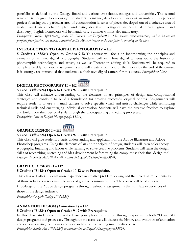portfolio as defined by the College Board and various art schools, colleges and universities. The second semester is designed to encourage the student to initiate, develop and carry out an in-depth independent project focusing on a particular area of concentration (a series of pieces developed out of a cohesive area of study, based on a coherent plan, underlying idea that investigates an individual interest, growth and discovery.) Nightly homework will be mandatory. Summer work is also mandatory.

*Prerequisite: Studio 3(#51623), and/OR Honors Art Portfolio(#53013), teacher recommendation, and a 5-piece art portfolio from previous art courses submitted to the AP Art teacher in March prior to enrolling in the class.*

#### **INTRODUCTION TO DIGITAL PHOTOGRAPHY – H2**

**5 Credits (#53824) Open to Grades 9-12** This course will focus on incorporating the principles and elements of art into digital photography. Students will learn how digital cameras work, the history of photographic technologies and artists, as well as Photoshop editing skills. Students will be required to complete weekly homework assignments and will create a portfolio of their work by the end of the course. It is strongly recommended that students use their own digital camera for this course. *Prerequisites: None*

## **DIGITAL PHOTOGRAPHY II – H2**



#### **5 Credits (#53924) Open to Grades 9-12 with Prerequisite**

This class will enhance understanding of the elements of art, principles of design and compositional strategies and continue to build a foundation for creating successful original photos. Assignments will require students to use a manual camera to solve specific visual and artistic challenges while reinforcing technical skills and encouraging individual expression. Students will have the creative freedom to explore and build upon their personal style through the photographing and editing processes.

*Prerequisite: Intro to Digital Photography(#53824)*

## **GRAPHIC DESIGN I – H2**

#### **5 Credits (#54224) Open to Grades 9-12 with Prerequisite**

This class will give students a basic understanding and application of the Adobe Illustrator and Adobe Photoshop programs. Using the elements of art and principles of design, students will learn color theory, typography, branding and layout while learning to solve creative problems. Students will learn the design skills of researching, sketching and idea development before using the computer as their final design tool. *Prerequisite: Studio Art I(#51224) or Intro to Digital Photography(#53824)*

## **GRAPHIC DESIGN II – H2**

#### **5 Credits (#54424) Open to Grades 10-12 with Prerequisite.**

This class will offer students more experience in creative problem solving and the practical implementation of those solutions across multiple areas of graphic communications. The course will build student knowledge of the Adobe design programs through real-world assignments that simulate experiences of those in the design industry.

*Prerequisite: Graphic Design I(#54224)*

## **ANIMATION DESIGN (Animation I) – H2**

#### **5 Credits (#54324) Open to Grades 9-12 with Prerequisite**

In this class, students will learn the basic principles of animation through exposure to both 2D and 3D design programs and processes. Throughout the class, we will discuss the history and evolution of animation and explore varying techniques and approaches to this exciting multimedia course.

*Prerequisite: Studio Art I(#51224) or Introduction to Digital Photography(#53824)*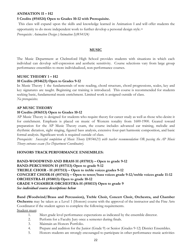#### **ANIMATION II – H2**

#### **5 Credits (#54524) Open to Grades 10-12 with Prerequisite.**

This class will expand upon the skills and knowledge learned in Animation I and will offer students the opportunity to do more independent work to further develop a personal design style.=

*Prerequisite: Animation Design (Animation I)(#54324)*

#### **MUSIC**

The Music Department at Chelmsford High School provides students with situations in which each individual can develop self-expression and aesthetic sensitivity. Course selections vary from large group performance ensembles to more individualized, non-performance courses.

#### **MUSIC THEORY 1 – H2**

#### **10 Credits (#54623) Open to Grades 9-12**

In Music Theory 1 the fundamentals of note reading, chord structure, chord progressions, scales, key and key signatures are taught. Beginning ear training is introduced. This course is recommended for students seeking basic, fundamental music enrichment. Limited work is assigned outside of class. *No prerequisites.*

#### **AP MUSIC THEORY**

#### **10 Credits (#56513) Open to Grades 10-12**

AP Music Theory is designed for students who require theory for career study as well as those who desire it for enrichment. Emphasis is placed on music of Western tonality from 1600-1900. Geared toward preparation for the AP Music Theory exam, the course includes advanced ear training, melodic and rhythmic dictation, sight singing, figured bass analysis, extensive four-part harmonic composition, and basic formal analysis. Significant work is required outside of class.

*Prerequisite: Successful completion of Music Theory I(#54623) with teacher recommendation OR passing the AP Music Theory entrance exam (See Department Coordinator).*

#### **HONORS TRACK PERFORMANCE ENSEMBLES:**

**BAND-WOODWIND AND BRASS H (#57013) – Open to grade 9-12 BAND-PERCUSSION H (#57113) Open to grade 9-12 TREBLE CHOIR - H (#57513) – Open to treble voices grades 9-12 CONCERT CHOIR-H (#57413) – Open to tenor/bass voices grade 9-12/treble voices grade 11-12 ORCHESTRA-H (#58013) Open to grade 10-12 GRADE 9 CHAMBER ORCHESTRA-H (#58113) Open to grade 9** *See individual course descriptions below*

**Band (Woodwind/Brass and Percussion), Treble Choir, Concert Choir, Orchestra, and Chamber Orchestra** may be taken as a Level 1 (Honors) course with the approval of the instructor and the Fine Arts Coordinator if the student agrees to complete the following requirements. Student must:

- 1. Meet grade level performance expectations as indicated by the ensemble director.
- 2. Perform for a Faculty Jury once a semester during finals.
- 3. Maintain an Honors Portfolio.
- 4. Prepare and audition for the Junior (Grade 9) or Senior (Grades 9-12) District Ensembles.
- 5. Honors students are strongly encouraged to participate in other performance music activities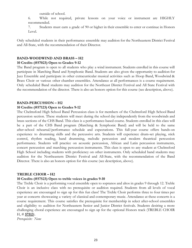outside of school.

6. While not required, private lessons on your voice or instrument are HIGHLY recommended.

7. Students must earn a grade of 90 or higher in their ensemble to enter or continue in Honors Level.

Only scheduled students in their performance ensemble may audition for the Northeastern District Festival and All-State, with the recommendation of their Director.

#### **BAND-WOODWIND AND BRASS – H2**

#### **10 Credits (#57023) Open to Grades 9-12**

The Band program is open to all students who play a wind instrument. Students enrolled in this course will participate in Marching Band and Symphonic Band. Students are also given the opportunity to audition for Jazz Ensemble and participate in other extracurricular musical activities such as Hoop Band, Woodwind & Brass Choir or various other chamber ensembles. Attendance at all performances is a course requirement. Only scheduled Band students may audition for the Northeast District Festival and All State Festival with the recommendation of the director. There is also an honors option for this course (see description, above).

#### **BAND-PERCUSSION – H2**

#### **10 Credits (#57123) Open to Grades 9-12**

The Chelmsford High School Band Percussion class is for members of the Chelmsford High School Band percussion section. These students will meet during the school day independently from the woodwinds and brass sections of the CHS Band. This class is a performance-based course. Students enrolled in this class will be a part of the CHS Band program (Marching & Symphonic Band) and will be held to the same after-school rehearsal/performance schedule and expectations. This full-year course offers hands-on experience to drumming skills and the percussive arts. Students will experience drum-set playing, stick control, rhythm reading, hand drumming, melodic percussion and modern theatrical percussion performance. Students will practice on acoustic percussion, African and Latin percussion instruments, concert percussion and marching percussion instruments. This class is open to any student at Chelmsford High School including students with proficiency on other instruments. Only scheduled band students may audition for the Northeastern District Festival and All-State, with the recommendation of the Band Director. There is also an honors option for this course (see description, above).

#### **TREBLE CHOIR – H2**

#### **10 Credits (#57523) Open to treble voices in grades 9-10**

The Treble Choir is a performing vocal ensemble open to sopranos and altos in grades 9 through 12. Treble Choir is an inclusive class with no prerequisite or audition required. Students from all levels of vocal experience are encouraged to sign up for this fun class! The Treble Choir performs three to four times per year at concerts showcasing a variety of classical and contemporary music. Attendance at these concerts is a course requirement. This course satisfies the prerequisite for membership in select after-school ensembles and eligibility to audition for Northeastern Senior and Junior District festivals. Students desiring a more challenging choral experience are encouraged to sign up for the optional Honors track (TREBLE CHOIR H, # **57513**).

*Prerequisite: None*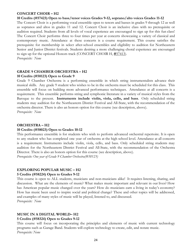#### **CONCERT CHOIR – H2**

#### **10 Credits (#57423) Open to bass/tenor voices Grades 9-12, soprano/alto voices Grades 11-12**

The Concert Choir is a performing vocal ensemble open to tenors and basses in grades 9 through 12 as well as sopranos and altos in grades 11 and 12. Concert Choir is an inclusive class with no prerequisite or audition required. Students from all levels of vocal experience are encouraged to sign up for this fun class! The Concert Choir performs three to four times per year at concerts showcasing a variety of classical and contemporary music. Attendance at these concerts is a course requirement. This course satisfies the prerequisite for membership in select after-school ensembles and eligibility to audition for Northeastern Senior and Junior District festivals. Students desiring a more challenging choral experience are encouraged to sign up for the optional Honors track (CONCERT CHOIR H, **#**57413). *Prerequisite: None*

**GRADE 9 CHAMBER ORCHESTRA – H2 10 Credits (#58123) Open to Grade 9**

Grade 9 Chamber Orchestra is a performing ensemble in which string instrumentalists advance their musical skills. Any grade 9 student who wishes to be in the orchestra must be scheduled for this class. This ensemble will focus on building more advanced performance techniques. Attendance at all concerts is a requirement. This ensemble performs string and symphonic literature in a variety of musical styles from the Baroque to the present. **Instruments include violin, viola, cello, and bass**. Only scheduled string students may audition for the Northeastern District Festival and All-State, with the recommendation of the orchestra director. There is also an honors option for this course (see description, above). *Prerequisite: None*

#### **ORCHESTRA – H2**

#### **10 Credits (#58023) Open to Grades 10-12**

This performance ensemble is for students who wish to perform advanced orchestral repertoire. It is open to any student who has completed one year of orchestra at the high school level. Attendance at all concerts is a requirement. Instruments include violin, viola, cello, and bass. Only scheduled string students may audition for the Northeastern District Festival and All-State, with the recommendation of the Orchestra Director. There is also an honors option for this course (see description, above). *Prerequisite: One year of Grade 9 Chamber Orchestra(#58123)*

#### **EXPLORING POPULAR MUSIC – H2**

#### **5 Credits (#58224) Open to Grades 9-12**

This course is open to ALL students, musicians and non-musicians alike! It requires listening, sharing, and discussion. What are the elements of music? What makes music important and relevant in our lives? How has American popular music changed over the years? How do musicians earn a living in today's economy? How has music been used to inspire social and political change? These and other topics will be addressed, and examples of many styles of music will be played, listened to, and discussed. *Prerequisite: None*

**MUSIC IN A DIGITAL WORLD– H2**

#### **5 Credits (#58324) Open to Grades 9-12**

This course will focus on incorporating the principles and elements of music with current technology programs such as Garage Band. Students will explore technology to create, edit, and notate music. *Prerequisite: None*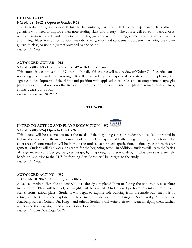#### **GUITAR 1 – H2 5 Credits (#59024) Open to Grades 9-12**

This introductory guitar course is for the beginning guitarist with little or no experience. It is also for

guitarists who need to improve their note reading skills and theory. The course will cover 14 basic chords with application to folk and modern pop styles, guitar structure, tuning, elementary rhythms applied to strumming, blues form, first position melody playing, trios, and accidentals. Students may bring their own guitars to class, or use the guitars provided by the school.

*Prerequisite: None*

## **ADVANCED GUITAR – H2**

#### **5 Credits (#59124) Open to Grades 9-12 with Prerequisite**

This course is a continuation of Guitar 1. Initially, this course will be a review of Guitar One's curriculum – reviewing chords and note reading. It will then pick up to major scale construction and playing, key signatures, development of the right hand position with application to scales and accompaniment, arpeggio playing, tab, natural notes up the fretboard, transposition, trios and ensemble playing in many styles: blues, country, classic and rock.

*Prerequisite: Guitar 1(#59024)*

#### **THEATRE**

## **INTRO TO ACTING AND PLAY PRODUCTION – H2 5 Credits (#59724) Open to Grades 9-12**

This course will be designed to meet the needs of the beginning actor or student who is also interested in technical elements of theater. Course work will include aspects of both acting and play production. The chief area of concentration will be in the basic tools an actor needs (projection, diction, eye contact, theater games). Student will also work on scenes for the beginning actor. In addition, students will learn the basics of stage makeup and design, hair, set design, lighting design and sound design. This course is extremely hands-on, and trips to the CHS Performing Arts Center will be integral to the study. *Prerequisite: None.*

#### **ADVANCED ACTING – H2**

#### **10 Credits (#59823) Open to grades 10-12**

Advanced Acting offers the student who has already completed Intro to Acting the opportunity to explore much more. Plays will be read, playwrights will be studied. Students will perform in a minimum of eight scenes from various plays. Students will begin to explore role building from the inside out: methods of acting will be taught and explored. These methods include the teachings of Stanislavsky, Meisner, Lee Strasberg, Robert Cohen, Uta Hagen and others. Students will write their own scenes, helping them further understand the playwright and character development.

*Prerequisite: Intro to Acting(#59724)*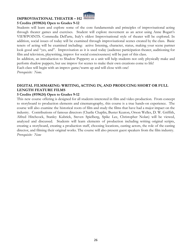#### **IMPROVISATIONAL THEATER – H2**



#### **5 Credits (#59824) Open to Grades 9-12**

Students will learn and explore some of the core fundamentals and principles of improvisational acting through theater games and exercises. Student will explore movement as an actor using Anne Bogart's VIEWPOINTS. Commedia Dell'arte, Italy's oldest Improvisational style of theater will be explored. In addition, social issues of today will be examined through improvisational scenes created by the class. Basic tenets of acting will be examined including: active listening, character, status, making your scene partner look good and "yes, and". Improvisation as it is used today (audience participation theater, auditioning for film and television, playwriting, improv for social consciousness) will be part of this class.

In addition, an introduction to Shadow Puppetry as a unit will help students not only physically make and perform shadow puppets, but use improv for scenes to make their own creations come to life!

Each class will begin with an improv game/warm up and will close with one! *Prerequisite: None.*

#### **DIGITAL FILMMAKING: WRITING, ACTING IN, AND PRODUCING SHORT OR FULL LENGTH FEATURE FILMS**

#### **5 Credits (#59624) Open to Grades 9-12**

This new course offering is designed for all students interested in film and video production. From concept to storyboard to production elements and cinematography, this course is a true hands-on experience. The course will also examine the historical roots of film and study the films that have had a major impact on the industry. Contributions of famous directors (Charlie Chaplin, Buster Keaton, Orson Welles, D. W. Griffith, Alfred Hitchcock, Stanley Kubrick, Steven Spielberg, Spike Lee, Christopher Nolan) will be viewed, analyzed and discussed. Students will learn elements of production including writing original scripts, creating a storyboard, creating a production staff, choosing locations, casting actors, the role of the casting director, and filming their original works. The course will also present guest speakers from the film industry. *Prerequisite: None*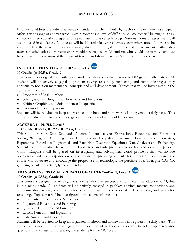## **MATHEMATICS**

In order to address the individual needs of students at Chelmsford High School, the mathematics program offers a wide range of courses which vary in content and level of difficulty. All courses will be taught using a variety of instructional strategies and appropriate, available technology. Various forms of assessment will also be used in all classes. All courses will be 10 credit full year courses except where noted. In order to be sure to select the most appropriate course, students are urged to confer with their current mathematics teacher, mathematics coordinator and/or guidance counselor. All students who would like to move up must have the recommendation of their current teacher and should have an  $A+$  in the current course.

## **INTRODUCTION TO ALGEBRA – Level 3**

**10 Credits (#11033), Grade 9**

This course is designed for ninth grade students who successfully completed 8<sup>th</sup> grade mathematics. All students will be actively engaged in problem solving, reasoning, connecting, and communicating as they continue to focus on mathematical concepts and skill development. Topics that will be investigated in the course will include:

- Properties of Real Numbers
- Solving and Graphing Linear Equations and Functions
- Writing, Graphing, and Solving Linear Inequalities
- Systems of Linear Equations

Students will be required to keep an organized notebook and homework will be given on a daily basis. This course will also emphasize the investigation and solution of real world problems.

## **ALGEBRA I – H, H2, Level 3**

## **10 Credits (#12213, #12223, #12233), Grade 9**

This Common Core State Standards Algebra I course covers Expressions, Equations, and Functions; Solving, Writing, and Graphing Linear Equations and Inequalities; Systems of Equations and Inequalities; Exponential Functions; Polynomials and Factoring; Quadratic Equations; Data Analysis; and Probability. Students will be required to keep a notebook, read and interpret the algebra text and some independent work. Emphasis will be placed on investigating and solving real world problems that will include open-ended and open-response questions to assist in preparing students for the MCAS exam. Since the course will advocate and encourage the proper use of technology, the purchase of a TI-nSpire CAS CX graphing calculator is strongly recommended.

## **TRANSITIONS FROM ALGEBRA TO GEOMETRY—Part 1, Level 3 10 Credits (#12333), Grade 10**

This course is designed for tenth grade students who have successfully completed Introduction to Algebra in the ninth grade. All students will be actively engaged in problem solving, making connections, and communicating as they continue to focus on mathematical concepts, skill development, and geometric reasoning. Topics that will be investigated in the course will include:

- Exponential Functions and Sequences
- Polynomial Equations and Factoring
- Quadratic Equations and Functions
- Radical Functions and Equations
- Data Analysis and Displays

Students will be required to keep an organized notebook and homework will be given on a daily basis. This course will emphasize the investigation and solution of real world problems, including open response questions that will assist in preparing the students for the MCAS exam.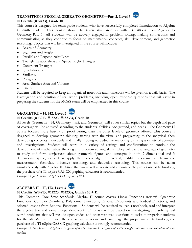#### **TRANSITIONS FROM ALGEBRA TO GEOMETRY—Part 2, Level 3 10 Credits (#12433), Grade 10**

This course is designed for tenth grade students who have successfully completed Introduction to Algebra in ninth grade. This course should be taken simultaneously with Transitions from Algebra to Geometry-Part 1. All students will be actively engaged in problem solving, making connections and communicating as they continue to focus on mathematical concepts, skill development, and geometric reasoning. Topics that will be investigated in the course will include:

- Basics of Geometry
- Segments and Angles
- Parallel and Perpendicular Lines
- Triangle Relationships and Special Right Triangles
- Congruent Triangles
- Quadrilaterals
- Similarity
- Polygons
- Area, Surface Area and Volume
- Circles

Students will be required to keep an organized notebook and homework will be given on a daily basis. The investigation and solution of real world problems, including open response questions that will assist in preparing the students for the MCAS exam will be emphasized in this course.

## **GEOMETRY – H, H2, Level 3 10 Credits (#13213, #13223, #13233), Grade 10**



All levels (Geometry—H, Geometry—H2, and Geometry) will cover similar topics but the depth and pace of coverage will be adjusted according to the students' abilities, background, and needs. The Geometry H course focuses more heavily on proof-writing than the other levels of geometry offered. This course is designed to develop geometric thinking starting with the visual and progressing to the analytical, then developing concepts inductively and finally moving to deductive reasoning by using a variety of activities and investigations. Students will work in a variety of settings and configurations to continue the development of mathematical thinking and problem solving skills. They will use the language of geometry to study and form conjectures about geometric figures and concepts in both 2 dimensional and 3 dimensional space, as well as apply their knowledge to practical, real-life problems, which involve measurement, formulas, inductive reasoning, and deductive reasoning. This course can be taken simultaneously with Algebra II. Since the course will advocate and encourage the proper use of technology, the purchase of a TI-nSpire CAS CX graphing calculator is recommended.

*Prerequisite for Honors: Algebra I H a grade of 85%.*



## **10 Credits (#14213, #14223, #14233), Grades 10 + 11**

This Common Core State Standards Algebra II course covers Linear Functions (review), Quadratic Functions, Complex Numbers, Polynomial Functions, Rational Exponents and Radical Functions, and selected lessons from Rational Functions. Students will be required to keep a notebook, read and interpret the algebra text and some independent work. Emphasis will be placed on investigating and solving real world problems that will include open-ended and open-response questions to assist in preparing students for the MCAS exam. Since the course will advocate and encourage the proper use of technology, the purchase of a TI-nSpire CAS CX graphing calculator is strongly recommended.

Prerequisite for Honors: Algebra I H grade of 85%, Algebra 1 H2 grade of 95% or higher and the recommendation of your *teacher.*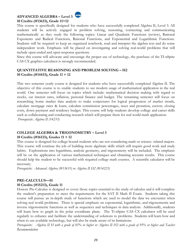## **ADVANCED ALGEBRA – Level 3 10 Credits (#13633), Grade 11+12**



This course is specifically designed for students who have successfully completed Algebra II, Level 3. All students will be actively engaged in problem solving, reasoning, connecting and communicating mathematically as they study the following topics: Linear and Quadratic Functions (review), Rational Exponents and Radical Functions, Rational Functions, and Exponential and Logarithmic Functions. Students will be required to keep an organized notebook, read and interpret the algebra text and do some independent work. Emphasis will be placed on investigating and solving real-world problems that will include open-ended and open-response questions.

Since this course will advocate and encourage the proper use of technology, the purchase of the TI-nSpire CAS CX graphics calculator is strongly recommended.

#### **QUANTITATIVE REASONING AND PROBLEM SOLVING – H2 10 Credits (#14433), Grade 11 + 12**

This two semester yearly course is designed for students who have successfully completed Algebra II. The objective of this course is to enable students to see modern usage of mathematical application in the real world. One semester will focus on topics which include: mathematical decision making with regard to stocks, car interest rates, inflation, personal finance and budget. The remaining semester will focus on researching home market data analysis to make conjectures for logical progression of market trends, calculate mortgage rates & loans, calculate commission percentages, taxes and proration, escrow, closing costs, down payment and residency budget. This course will help students develop college and career skills such as collaborating and conducting research which will prepare them for real world math application. *Prerequisite: Algebra II (14233)*

## **COLLEGE ALGEBRA & TRIGONOMETRY – Level 3**

#### **10 Credits (#16133), Grades 11 + 12**

This course is designed for college bound students who are not considering math or science- related majors. This course will continue the job of building more algebraic skills which will require good work and study habits. Explorations into logarithms, analytic geometry, and trigonometry will be included. The emphasis will be on the application of various mathematical techniques and obtaining accurate results. This course should help the student to be successful with required college math courses. A scientific calculator will be necessary.

*Prerequisite: Advanced Algebra (#13633) or Algebra II H2 (#14223)*

## **PRE-CALCULUS—H**

#### **10 Credits (#15213), Grade 11**

Honors Pre-Calculus is designed to cover those topics essential to the study of calculus and it will complete the student's preparation to meet the requirements for the SAT II Math II Exam. Students taking this course will pursue an in-depth study of functions which are used to model the data we encounter when solving real world problems. There is special emphasis on exponential, logarithmic, and trigonometric and inverse trigonometric functions as well as sequences and techniques in data analysis. Additionally, students will learn how to graph in the polar coordinate plane. The Ti-nSpire CAS CX calculator will be used regularly to enhance and facilitate the understanding of solutions to problems. Students will learn how and when to use available technology, but will also be made aware of its limitations.

Prerequisite: Algebra II H with a grade of 85% or higher or Algebra II H2 with a grade of 95% or higher and Teacher *Recommendation*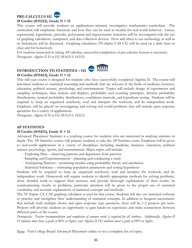## **PRE-CALCULUS H2**



This course will provide students an applications-oriented, investigative mathematics curriculum. The curriculum will emphasize functions and how they can be used as models for real world behavior. Linear, exponential, logarithmic, periodic, polynomial and trigonometric functions will be investigated with the use of graphing calculators, computers, and data collection devices. How and when to use technology as well as its limitations will be discussed. Graphing calculators (TI-nSpire CAS CX) will be used on a daily basis in class and for homework.

For students interested in taking AP calculus, successful completion of pre-calculus honors is necessary. *Prerequisite: Algebra II H or H2 (#14213, 14223)*

#### **ACAA INTRODUCTION TO STATISTICS – H2 10 Credits (#15423), Grade 11 + 12**

This full-year course is designed for students who have successfully completed Algebra II. The course will introduce students to statistical reasoning and methods that are relevant in the fields of medicine, business, education, political science, psychology and entertainment. Topics will include design of experiments and sampling techniques, data analysis and displays, probability and counting principles, discrete probability distributions, normal probability distributions, confidence intervals, and hypothesis testing. Students will be required to keep an organized notebook, read and interpret the textbook, and do independent work. Emphasis will be placed on investigating and solving real world problems that will include open response questions for a variety of applications.

**Address** 

*Prerequisite: Algebra II H or H2 (#14213, 14223)*

#### **AP STATISTICS**

#### **10 Credits (#15413), Grade 11 + 12**

Advanced Placement Statistics is a yearlong course for students who are interested in studying statistics in depth. The AP Statistics course will prepare students to take the AP Statistics exam. Emphasis will be given to real-world applications in a variety of disciplines, including medicine, business, education, political science, psychology, sports, and entertainment. Major topics will include:

- · Exploring Data observing patterns and departures from patterns
- · Sampling and Experimentation planning and conducting a study
- · Anticipating Patterns producing models using probability theory and simulation
- · Statistical Inference estimating population parameters and testing hypotheses

Students will be required to keep an organized notebook, read and interpret the textbook, and do independent work. Homework will require students to identify appropriate methods for solving problems, show detailed work to support their answers, and provide thorough explanations of their results. In communicating results to problems, particular attention will be given to the proper use of statistical vocabulary and accurate explanations of statistical concepts and methods.

The TI Nspire CX CAS graphing calculator is used for this course. Students will also use statistical software to practice and strengthen their understanding of statistical concepts. In addition to frequent assessments that include both multiple choice and open response type questions, there will be 1-2 projects per term. Projects will provide students an opportunity to gain hands-on experience and make connections between different parts of the course.

Prerequisite: Teacher recommendation and completion of summer work is required for all students. Additionally, Algebra II *H students must have a grade of 80% or higher, and Algebra II H2 students must a grade of 90% or higher.*

Note: Visit College Board Advanced Placement online to see a complete list of topics.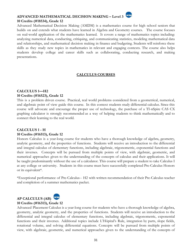## **ADVANCED MATHEMATICAL DECISION MAKING – Level 3 10 Credits (#18534), Grade 12**

Advanced Mathematical Decision Making (AMDM) is a mathematics course for high school seniors that builds on and extends what students have learned in Algebra and Geometry courses. The course focuses on real-world application of the mathematics learned. It covers a range of mathematics topics including: analyzing numerical data, conducting, critiquing, and communicating statistics, modeling mathematical data and relationships, and mathematical decision making in finance and budgeting. Students will reinforce these skills as they study new topics in mathematics in relevant and engaging contexts. The course also helps students develop college and career skills such as collaborating, conducting research, and making presentations.

#### **CALCULUS COURSES**

#### **CALCULUS 1—H2 10 Credits (#16523), Grade 12**

This is a problem driven course. Practical, real world problems considered from a geometrical, numerical, and algebraic point of view guide this course. In this context students study differential calculus. Since this course will advocate and encourage the proper use of technology, the purchase of a TI-nSpire CAS CX graphing calculator is strongly recommended as a way of helping students to think mathematically and to connect their learning to the real world.

#### **CALCULUS 1 - H 10 Credits (#16513), Grade 12**

or its equivalent\*.

Honors Calculus is a year-long course for students who have a thorough knowledge of algebra, geometry, analytic geometry, and the properties of functions. Students will receive an introduction to the differential and integral calculus of elementary functions, including algebraic, trigonometric, exponential functions and their inverses. Concepts will be pursued from multiple points of view, with algebraic, geometric, and numerical approaches given to the understanding of the concepts of calculus and their applications. It will be taught predominantly without the use of a calculator. This course will prepare a student to take Calculus I at any college or university. Students in this course must have successfully completed Pre-Calculus Honors

\*Exceptional performance of Pre-Calculus-- H2 with written recommendation of their Pre-Calculus teacher and completion of a summer mathematics packet.



#### **10 Credits (#16313), Grade 12**

Advanced Placement Calculus is a year-long course for students who have a thorough knowledge of algebra, geometry, analytic geometry, and the properties of functions. Students will receive an introduction to the differential and integral calculus of elementary functions, including algebraic, trigonometric, exponential functions and their inverses. Additional topics include L'Hôpital's Rule, integration by parts, slope fields, rotational volume, and solving differential equations. Concepts will be pursued from multiple points of view, with algebraic, geometric, and numerical approaches given to the understanding of the concepts of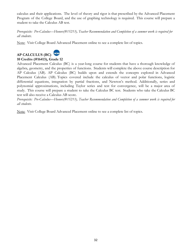calculus and their applications. The level of theory and rigor is that prescribed by the Advanced Placement Program of the College Board, and the use of graphing technology is required. This course will prepare a student to take the Calculus AB test.

*Prerequisite: Pre-Calculus—Honors(#15213), Teacher Recommendation and Completion of a summer work is required for all students.*

Note: Visit College Board Advanced Placement online to see a complete list of topics.



## **AP CALCULUS (BC) 10 Credits (#16413), Grade 12**

Advanced Placement Calculus (BC) is a year-long course for students that have a thorough knowledge of algebra, geometry, and the properties of functions. Students will complete the above course description for AP Calculus (AB). AP Calculus (BC) builds upon and extends the concepts explored in Advanced Placement Calculus (AB). Topics covered include the calculus of vector and polar functions, logistic differential equations, integration by partial fractions, and Newton's method. Additionally, series and polynomial approximations, including Taylor series and test for convergence, will be a major area of study. This course will prepare a student to take the Calculus BC test. Students who take the Calculus BC test will also receive a Calculus AB score.

*Prerequisite: Pre-Calculus—Honors(#15213), Teacher Recommendation and Completion of a summer work is required for all students.*

Note: Visit College Board Advanced Placement online to see a complete list of topics.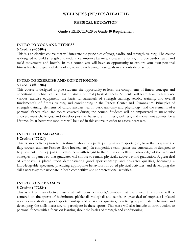## <span id="page-33-0"></span>**WELLNESS (PE/FCS/HEALTH)**

#### **PHYSICAL EDUCATION**

#### **Grade 9 ELECTIVES or Grade 10 Requirement**

#### **INTRO TO YOGA AND FITNESS**

#### **5 Credits (#76404)**

This is a an elective course that will integrate the principles of yoga, cardio, and strength training. The course is designed to build strength and endurance, improve balance, increase flexibility, improve cardio health and meld movement and breath. In this course you will have an opportunity to explore your own personal fitness levels and goals while working towards achieving these goals in and outside of school.

#### **INTRO TO EXERCISE AND CONDITIONING**

#### **5 Credits (#76304)**

This course is designed to give students the opportunity to learn the components of fitness concepts and conditioning techniques used for obtaining optimal physical fitness. Students will learn how to safely use various exercise equipment, the basic fundamentals of strength training, aerobic training, and overall fundamentals of fitness training and conditioning in the Fitness Center and Gymnasium. Principles of strength training, elements of cardiovascular health, basic anatomy and physiology, and the elements of a personal fitness plan are topics covered during the course. Students will be empowered to make wise choices, meet challenges, and develop positive behaviors in fitness, wellness, and movement activity for a lifetime. Polar heart rate monitors will be used in this course in order to assess heart rate.

#### **INTRO TO TEAM GAMES**

#### **5 Credits (#77124)**

This is an elective option for freshman who enjoy participating in team sports (i.e., basketball, capture the flag, soccer, ultimate Frisbee, floor hockey, etc.). In competitive team games the curriculum is designed to help students develop positive self-esteem with regard to their physical skills and knowledge of the rules and strategies of games so that graduates will choose to remain physically active beyond graduation. A great deal of emphasis is placed upon demonstrating good sportsmanship and character qualities, becoming a knowledgeable spectator, practicing appropriate behaviors for co-ed physical activities, and developing the skills necessary to participate in both competitive and/or recreational activities.

#### **INTRO TO NET GAMES**

#### **5 Credits (#77324)**

This is a freshman elective class that will focus on sports/activities that use a net. This course will be centered on the sports of badminton, pickleball, volleyball and tennis. A great deal of emphasis is placed upon demonstrating good sportsmanship and character qualities, practicing appropriate behaviors and developing the skills necessary to participate in these sports. This class will also include an introduction to personal fitness with a focus on learning about the basics of strength and conditioning.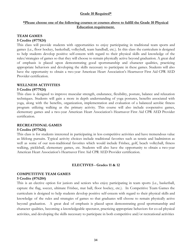#### **Grade 10 Required\***

#### **\*Please choose one of the following courses or courses above to fulfill the Grade 10 Physical Education requirement.**

#### **TEAM GAMES**

#### **5 Credits (#77824)**

This class will provide students with opportunities to enjoy participating in traditional team sports and games (i.e., floor hockey, basketball, volleyball, team handball, etc.). In this class the curriculum is designed to help students develop positive self-esteem with regard to their physical skills and knowledge of the rules/strategies of games so that they will choose to remain physically active beyond graduation. A great deal of emphasis is placed upon demonstrating good sportsmanship and character qualities, practicing appropriate behaviors and developing the skills necessary to participate in these games. Students will also have the opportunity to obtain a two-year American Heart Association's Heartsaver First Aid CPR AED Provider certification.

#### **WELLNESS ACTIVITIES**

#### **5 Credits (#77924)**

This class is designed to improve muscular strength, endurance, flexibility, posture, balance and relaxation techniques. Students will gain a more in depth understanding of yoga postures, benefits associated with yoga, along with the benefits, organization, implementation and evaluation of a balanced aerobic fitness program utilizing walking as the primary activity. This course will also include cooperative games, elementary games and a two-year American Heart Association's Heartsaver First Aid CPR AED Provider certification.

#### **RECREATIONAL GAMES**

#### **5 Credits (#77624)**

This class is for students interested in participating in less competitive activities and have tremendous value as lifelong pursuits. Typical activity choices include traditional favorites such as tennis and badminton as well as some of our non-traditional favorites which would include Frisbee, golf, beach volleyball, fitness walking, pickleball, elementary games, etc. Students will also have the opportunity to obtain a two-year American Heart Association's Heartsaver First Aid CPR AED Provider certification.

#### **ELECTIVES - Grades 11 & 12**

#### **COMPETITIVE TEAM GAMES 5 Credits (#76204)**

This is an elective option for juniors and seniors who enjoy participating in team sports (i.e., basketball, capture the flag, soccer, ultimate Frisbee, mat ball, floor hockey, etc.). In Competitive Team Games the curriculum is designed to help students develop positive self-esteem with regard to their physical skills and knowledge of the rules and strategies of games so that graduates will choose to remain physically active beyond graduation. A great deal of emphasis is placed upon demonstrating good sportsmanship and character qualities, becoming a knowledgeable spectator, practicing appropriate behaviors for co-ed physical activities, and developing the skills necessary to participate in both competitive and/or recreational activities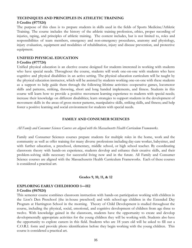#### **TECHNIQUES AND PRINCIPLES IN ATHLETIC TRAINING**

#### **5 Credits (#77524)**

The purpose of this class is to prepare students in skills used in the fields of Sports Medicine/Athletic Training. The course includes the history of the athletic training profession, ethics, proper recording of injuries, taping, and principles of athletic training. The content includes, but is not limited to, roles and responsibilities of team members, emergency and non-emergency procedures, anatomy and physiology, injury evaluation, equipment and modalities of rehabilitation, injury and disease prevention, and protective equipment.

#### **UNIFIED PHYSICAL EDUCATION**

#### **5 Credits (#77724)**

Unified physical education is an elective course designed for students interested in working with students who have special needs. Throughout the course, students will work one-on-one with students who have cognitive and physical disabilities in an active setting. The physical education curriculum will be taught by the physical education instructor, which will be assisted by students working one-on-one with these students as a support to help guide them through the following lifetime activities: cooperative games, locomotor skills and patterns, striking, throwing, short and long handed implements, and fitness. Students in this course will learn how to provide a positive movement learning experience to students with special needs; increase their knowledge on different disabilities; learn strategies to support students in the development of movement skills in the areas of gross motor patterns, manipulative skills, striking skills, and fitness; and help foster a positive learning and social environment for students with special needs.

#### **FAMILY AND CONSUMER SCIENCES**

#### *All Family and Consumer Sciences Courses are aligned with the Massachusetts Health Curriculum Frameworks.*

Family and Consumer Sciences courses prepare students for multiple roles in the home, work and the community as well as offer training for many diverse professions including day-care worker, babysitter, and with further education, a preschool, elementary, middle school, or high school teacher. By coordinating classroom theory with hands-on experience, students develop and enhance their creative skills, and their problem-solving skills necessary for successful living now and in the future. All Family and Consumer Science courses are aligned with the Massachusetts Health Curriculum Frameworks. Each of these courses is considered a practical art.

#### **Grades 9, 10, 11, & 12**

#### **EXPLORING EARLY CHILDHOOD 1—H2**

#### **5 Credits (#67024)**

This semester course combines classroom instruction with hands-on participation working with children in the Lion's Den Preschool (the in-house preschool) and with school-age children in the Extended Day Program at Harrington School in the morning. Theory of Child Development is studied throughout the course, including the physical, social, emotional, and cognitive development of children from age three to twelve. With knowledge gained in the classroom, students have the opportunity to create and develop developmentally appropriate activities for the young children they will be working with. Students also have the opportunity to explore careers in this field. Students who are 18 years old will be asked to fill out a C.O.R.I. form and provide photo identification before they begin working with the young children. This course is considered a practical art.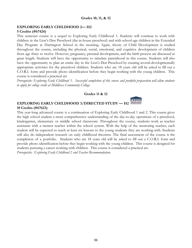#### **EXPLORING EARLY CHILDHOOD 2— H2**

#### **5 Credits (#67424)**

This semester course is a sequel to Exploring Early Childhood 1. Students will continue to work with children in the Lion's Den Preschool (the in-house preschool) and with school-age children in the Extended Day Program at Harrington School in the morning. Again, theory of Child Development is studied throughout the course, including the physical, social, emotional, and cognitive development of children from age three to twelve. However, pregnancy, prenatal development, and the birth process are discussed at great length. Students will have the opportunity to simulate parenthood in this course. Students will also have the opportunity to plan an entire day in the Lion's Den Preschool by creating several developmentally appropriate activities for the preschool children. Students who are 18 years old will be asked to fill out a C.O.R.I. form and provide photo identification before they begin working with the young children. This course is considered a practical art.

Prerequisite: Exploring Early Childhood 1. Successful completion of this course and portfolio preparation will allow students *to apply for college credit at Middlesex Community College.*

#### **Grades 11 & 12**



## **EXPLORING EARLY CHILDHOOD 3/DIRECTED STUDY — H2 10 Credits (#67623)**

This year-long advanced course is a continuation of Exploring Early Childhood 1 and 2. This course gives the high school student a more comprehensive understanding of the day-to-day operations of a preschool, kindergarten, elementary or middle school classroom. Throughout the course, students work as teacher assistants with a mentor teacher within the school system. With the help of the mentoring teacher, each student will be expected to teach at least six lessons to the young students they are working with. Students will also do independent research on early childhood theorists. The final assessment of the course is the completion of a portfolio. Students who are 18 years old will be asked to fill out a C.O.R.I. form and provide photo identification before they begin working with the young children. This course is designed for students pursuing a career working with children. This course is considered a practical art. *Prerequisite: Exploring Early Childhood 2 and Teacher Recommendation.*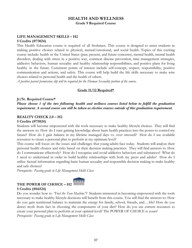## **HEALTH AND WELLNESS Grade 9 Required Course**

## **LIFE MANAGEMENT SKILLS – H2**

**5 Credits (#73024)**

This Health Education course is required of all freshmen. This course is designed to assist students in making positive choices related to physical, mental/emotional, and social health. Topics of this exciting course include: health in the United States (past, present, and future concerns), mental health, mental health disorders, dealing with stress in a positive way, common disease prevention, time management strategies, addictive behaviors, human sexuality and healthy relationship responsibilities, and positive plans for living healthy in the future. Consistent points of interest include self-concept, respect, responsibility, positive communication and actions, and safety. This course will help build the life skills necessary to make wise choices related to personal health and the health of others.

*A positive parent permission slip will be required for the Human Sexuality portion of the course.*

#### **Grade 11/12 Required\***

#### **Jr/Sr. Required Course\***

*Please choose 1 of the two following health and wellness courses listed below to fulfill the graduation requirement. A second course can still be taken as elective courses outside of this graduation requirement.*

#### **REALITY CHECK 2.0 – H2**

#### **5 Credits (#75024)**

Students will become empowered with the tools necessary to make healthy lifestyle choices. They will find the answers to: How do I turn gaining knowledge about basic health practices into the power to control my future? How do I gain balance in my lifetime managed days vs. over stressed? How do I use available resources to create a personal plan to perform at my optimum level?

This course will focus on the issues and challenges that young adults face today. Students will analyze their personal health choices and risks based on their decision making practices. They will find answers to: How do I communicate effectively? How do I recognize and avoid addictive behaviors and substances? What do I need to understand in order to build healthy relationships with both my peers and adults? How do I utilize factual information regarding basic human sexuality and responsible decision making to make healthy and safe choices?

*Prerequisite: Passing grade in Life Management Skills Class*

## **THE POWER OF CHOICE – H2 5 Credits (#66524)**



Do you wonder how to *"Fuel the Teen Machine"?* Students interested in becoming empowered with the tools necessary to make healthy lifestyle decisions will benefit from this course. You will find the answers to: How do you gain nutritional balance to maintain the energy for family, school, friends, and….life? How do you detect myth from fact in choosing the components of your diet? How do you use current resources to create your personal plan to perform at your optimal level? The POWER OF CHOICE is yours! *Prerequisite: Passing grade in Life Management Skills Class*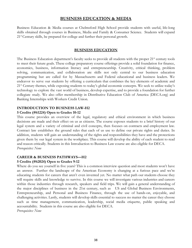#### <span id="page-38-0"></span>**BUSINESS EDUCATION & MEDIA**

Business Education & Media courses at Chelmsford High School provide students with useful, life-long skills obtained through courses in Business, Media and Family & Consumer Science. Students will expand 21<sup>st</sup> Century skills, be prepared for college and further their personal growth.

#### **BUSINESS EDUCATION**

The Business Education department's faculty seeks to provide all students with the proper 21<sup>st</sup> century tools to meet their future goals. These college preparatory course offerings provide a solid foundation for finance, economics, business, information literacy and entrepreneurship. Creativity, critical thinking, problem solving, communication, and collaboration are skills not only central to our business education programming but are called for by Massachusetts and Federal educational and business leaders. We endeavor to serve our students by offering a curriculum that combines the key elements of academic and 21st Century themes, while exposing students to today's global economic concepts. We seek to utilize today's technology to explore the vast world of business, develop expertise, and to provide a foundation for further collegiate study. We also offer membership in Distributive Education Club of America (DECA.org) and Banking Internships with Workers Credit Union.

#### **INTRODUCTION TO BUSINESS LAW-H2**

#### **5 Credits (#61224) Open to Grades 10-12**

This course provides an overview of the legal, regulatory and ethical environment in which business decisions are made and their effect on us as citizens. The course exposes students to a brief history of our legal system and a variety of criminal and civil concepts, then focuses on contracts and employment law. Contract law establishes the ground rules that each of us use to define our private rights and duties. In addition, students will gain an understanding of the rights and responsibilities they have and the protections given them by our legal system in the workplace. This course will develop the ability of each student to read and reason critically. Students in this Introduction to Business Law course are also eligible for DECA. *Prerequisites: None*

#### **CAREER & BUSINESS PATHWAYS—H2 5 Credits (#62024) Open to Grades 9-12**

Where do you see yourself in five years? This is a common interview question and most students won't have an answer. Further the landscape of the American Economy is changing at a furious pace and we're educating students for careers that aren't even invented yet. No matter what path our students choose they will require skills and knowledge to survive. In this course we will investigate various industries and careers within those industries through research, speakers and field trips. We will gain a general understanding of the major disciplines of business in the 21st century, such as US and Global Business Environments, Entrepreneurship, and Personal and Business Finance, through the use of hands-on, enjoyable, and challenging activities. Lastly, students will develop skills essential to success no matter the career they choose such as time management, communication, leadership, social media etiquette, public speaking and accountability. Students in this course are also eligible for DECA.

*Prerequisites: None*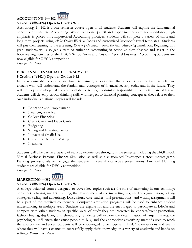

## **ACCOUNTING 1— H2**

#### **5 Credits (#62424) Open to Grades 9-12**

Accounting 1—H2 is a one semester course open to all students. Students will explore the fundamental concepts of Financial Accounting. While traditional pencil and paper methods are not abandoned, high emphasis is placed on computerized Accounting practices. Students will complete a variety of short and long term projects using *Aplia Online Working Papers* and customized Microsoft Excel templates. Students will put their learning to the test using *Knowledge Matters: Virtual Business: Accounting s*imulation. Beginning this year, students will also get a taste of authentic Accounting in action as they observe and assist in the bookkeeping activities of the DECA School Store and Custom Apparel business. Accounting Students are now eligible for DECA competition.

*Prerequisites: None*

## **PERSONAL FINANCIAL LITERACY - H2**

#### **5 Credits (#61424) Open to Grades 9-12**

In today's unstable economic and financial climate, it is essential that students become financially literate citizens who will understand the fundamental concepts of financial security today and in the future. They will develop knowledge, skills, and confidence to begin assuming responsibility for their financial future. Students will develop critical thinking skills with respect to financial planning concepts as they relate to their own individual situations. Topics will include:

- Education and Employment
- Financing a car loan
- College Financing
- Credit Cards and Debit Cards
- Budgeting
- Saving and Investing Basics
- Impacts of Credit Use
- Consumer Decision Making
- Insurance

Students will take part in a variety of realistic experiences throughout the semester including the H&R Block Virtual Business Personal Finance Simulation as well as a customized Investopedia stock market game. Banking professionals will engage the students in several interactive presentations. Financial Planning students are eligible for DECA competition.

*Prerequisites: None*



#### **5 Credits (#65024) Open to Grades 9-12**

A college oriented course designed to cover key topics such as: the role of marketing in our economy; consumer behavior; market planning; the development of the marketing mix; market segmentation; pricing strategies; selling and advertising. Discussions, case studies, oral presentations, and writing assignments will be a part of the required coursework. Computer simulation programs will be used to enhance student understanding in multiple areas. Students are eligible for and are encouraged to participate in DECA and compete with other students in specific areas of study they are interested in: concert/event promotion, fashion buying, displaying and showcasing. Students will explore the determination of target markets, the psychological influences that cause people to buy, and the appropriate advertising methods used to reach the appropriate audiences. Students will be encouraged to participate in DECA competitions and events where they will have a chance to successfully apply their knowledge in a variety of academic and hands-on settings. *Prerequisites: None*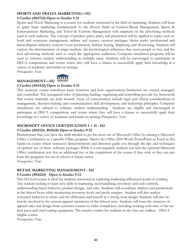## **SPORTS AND TRAVEL MARKETING—H2**

#### **5 Credits (#61724) Open to Grades 9-12**

Sports and Travel Marketing is a course for students interested in the field of marketing. Students will learn to apply basic marketing fundamentals to the diverse fields of Fashion/Retail Management, Sports & Entertainment Marketing, and Travel & Tourism Management with emphasis on the advertising methods used in each industry. The concept of product, price, place, and promotion will be applied to topics such as: hotel and restaurant management, airlines and cruises, vacation packages, theme parks, professional and intercollegiate athletics, concert/event promotion, fashion buying, displaying and showcasing. Students will explore the determination of target markets, the psychological influences that cause people to buy, and the best advertising methods used to reach the appropriate audiences. Computer simulation programs will be used to enhance student understanding in multiple areas. Students will be encouraged to participate in DECA competitions and events where they will have a chance to successfully apply their knowledge in a variety of academic and hands-on settings.

*Prerequisites: None*

**MANAGEMENT—H2** 



#### **5 Credits (#65424) Open to Grades 9-12**

This semester course introduces basic functions and how organizations/businesses are owned, managed, and controlled. The managerial roles of planning, leading, organizing and controlling provide the framework that course materials are built around. Areas of concentration include legal and ethical considerations in management, decision-making and communication skill development, and leadership principles. Computer simulations are utilized to enhance student understanding. Students are eligible and encouraged to participate in DECA competitions and events where they will have a chance to successfully apply their knowledge in a variety of academic and hands-on settings.*Prerequisites: None*

#### **MICROSOFT OFFICE CERTIFICATION I + II - H2**

#### **5 Credits (#61524, #61624) Open to Grades 9-12**

Demonstrate that you have the skills needed to get the most out of Microsoft Office by earning a Microsoft Office Certification in a specific Office program. Master the Office 2010 Word, PowerPoint or Excel in this hands-on course where instructor demonstrations and direction guide you through the tips and techniques of optimal use of these software packages. While it is not required, students can take the optional Microsoft Office certification test (for an additional fee) at the completion of the course if they wish or they can just learn the programs for use in school or future career.

*Prerequisites: None*

#### **RETAIL MARKETING MANAGEMENT - H2**

#### **5 Credits (#64224) Open to Grades 9-12**

This H2 level course is ideal for students interested in exploring marketing influenced world of retailing. Any student looking to learn new skills in marketing, merchandising, inventory and cash controls, understanding buyer behavior, product design, and sales. Students will coordinate displays and promotions in the School Store while monitoring inventory levels and profit margins. Student will also analyze consumer behavior in stores and the difference and benefit in a strong store design. Students will also be heavily involved in the custom apparel operations of the School store. Students will learn the elements of apparel sales and design from customer contact to order completion, including working with state of the art heat press and vinyl cutting equipment. The creative outlets for students in the class are endless. DECA eligible course.

*Prerequisites: None*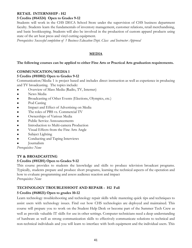#### **RETAIL INTERNSHIP - H2**

#### **5 Credits (#64324) Open to Grades 9-12**

Students will work in the CHS DECA School Store under the supervision of CHS business department faculty. Students learn the fundamentals of inventory management, customer relations, retail merchandising, and basic bookkeeping. Students will also be involved in the production of custom apparel products using state of the art heat press and vinyl cutting equipment.

*Prerequisites: Successful completion of 1 Business Education Dept. Class and Instructor Approval*

#### **MEDIA**

#### **The following courses can be applied to either Fine Arts or Practical Arts graduation requirements.**

#### **COMMUNICATION/MEDIA 1**

#### **5 Credits (#81002) Open to Grades 9-12**

Communication/Media 1 is project based and includes direct instruction as well as experience in producing and TV broadcasting. The topics include:

- Overview of Mass Media (Radio, TV, Internet)
- News Media
- Broadcasting of Other Events (Elections, Olympics, etc.)
- Pod Casting
- Impact and Effect of Advertising on Media
- The roles of PBS vs. Commercial TV
- Ownerships of Various Media
- Public Service Announcements
- Introduction to Multi-camera Production
- Visual Effects from the Fine Arts Angle
- Subject Lighting
- Conducting and Taping Interviews
- **Journalism**

*Prerequisites: None*

#### **TV & BROADCASTING**

#### **5 Credits (#81201) Open to Grades 9-12**

This course provides to students the knowledge and skills to produce television broadcast programs. Typically, students prepare and produce short programs, learning the technical aspects of the operation and how to evaluate programming and assess audience reaction and impact *Prerequisites: None*

#### **TECHNOLOGY TROUBLESHOOT AND REPAIR - H2 Fall**

#### **5 Credits (#68021) Open to grades 10-12**

Learn technology troubleshooting and technology repair skills while mastering quick tips and techniques to assist users with technology issues. Find out how CHS technologies are deployed and maintained. This course will prepare you to work on the Student Help Desk or become part of the Summer Tech Crew as well as provide valuable IT skills for use in other settings. Computer technicians need a deep understanding of hardware as well as strong communication skills to effectively communicate solutions to technical and non-technical individuals and you will learn to interface with both equipment and the individual users. This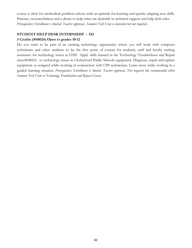course is ideal for methodical problem-solvers with an aptitude for learning and quickly adapting new skills. Patience, resourcefulness and a desire to help other are desirable in technical support and help desk roles. *Prerequisites: Enrollment is limited. Teacher approval.. Summer Tech Crew is desirable but not required .*

#### **STUDENT HELP DESK INTERNSHIP - H2 5 Credits (#68024) Open to grades 10-12**

Do you want to be part of an exciting technology opportunity where you will work with computer technicians and other students to be the first point of contact for students, staff and faculty seeking assistance for technology issues at CHS? Apply skills learned in the Technology Troubleshoot and Repair class(#68021) to technology issues in Chelmsford Public Schools equipment. Diagnose, repair and replace equipment as assigned while working in conjunction with CPS technicians. Learn more while working in a guided learning situati*on. Prerequisites: Enrollment is limited. Teacher approval. Not required but recommended either Summer Tech Crew or Technology Troubleshoot and Repair Course.*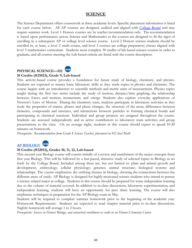## **SCIENCE**

The Science Department offers coursework at three academic levels. Specific placement information is listed for each course below. All AP courses are designed, audited and aligned with [College](https://apstudent.collegeboard.org/home) Board and may require summer work. Level 1 Honors courses are by teacher recommendation only. The recommendation is based upon performance across Science and Mathematics as the courses are designed to fit the rigor of enrolling in a subsequent AP or college level science course. Level 2 Honors science students should be enrolled in, at least, a level 2 math course, and level 3 courses are college preparatory classes aligned with level 3 mathematics curriculum. Students must complete 30 credits of lab-based science courses in order to graduate, and all courses meeting the Lab-based criteria are listed with the course description.

## **PHYSICAL SCIENCE—H2**

#### **10 Credits (#21023), Grade 9, Lab-based**

This activity-based course provides a foundation for future study of biology, chemistry, and physics. Students are expected to master basic laboratory skills as they study topics in physics and chemistry. The course begins with an introduction to scientific methods and metric units of measurement. Physics topics taught during the first two terms include the study of motion; distance/time graphing; the relationship between forces and motion; momentum; and energy. Students also explore everyday applications of Newton's Laws of Motion. During the chemistry term, students participate in laboratory activities as they study the properties of matter, phases and phase changes, the structure of the atom, differences between elements, compounds and mixtures, and interactions between particles in forming chemical bonds and participating in chemical reactions. Individual and group projects are assigned throughout the course. Students are assessed independently and as active contributors to laboratory team activities and group presentations to the class. On an average night, students in this course should expect to spend 10-20 minutes on homework.

*Prerequisite: Recommendation from Grade 8 Science Teacher, placement in H2 level Math*



#### **10 Credits (#22013), Grades 10, 11, 12, Lab-based**

This second year Biology course will consist initially of a review and enrichment of the major concepts from first year Biology. This will be followed by a fast-paced, intensive study of selected topics in Biology as set forth by the College Board. Included among these are, but not limited to: plant and animal growth and development; embryology; cellular physiology; genetics; animal structure; biological systems and relationships. The course emphasizes the unifying themes in biology, showing the connections between the different areas of study. AP Biology is designed for highly motivated science students who intend to pursue a science related major in college. Students in this course should be prepared for some independent learning due to the volume of material covered. In addition to in-class discussions, laboratory experimentation, and independent learning, students will have an opportunity for peer share learning. The course will also emphasize techniques in preparation for the AP Biology exam in May.

Students will be required to complete summer homework prior to the beginning of the academic year. Homework Requirements: Students are expected to read chapter material prior to in-class discussions. Nightly homework will average 1 to 2 hours.

*Prerequisite: Success in Honors Biology, and concurrent enrollment or credit in an Honors Chemistry Course*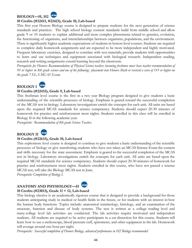## **BIOLOGY—H, H2**

#### **10 Credits (#22413, #22423), Grade 10, Lab-based**

This first year Honors Biology course is designed to prepare students for the next generation of science standards and practices. The high school biology content standards build from middle school and allow grade 9 or 10 students to explain additional and more complex phenomena related to genetics, evolution, the functioning of organisms, and interrelationships between organisms, populations, and the environment. There is significantly higher academic expectations of students in honors level courses. Students are required to complete daily homework assignments and are expected to be more independent and highly motivated. Frequent laboratory exercises, designed to correlate with text materials, provide students with opportunities to learn and use techniques and equipment associated with biological research. Independent reading, research and writing assignments extend learning beyond the classroom.

Prerequisite for Honors: Recommendation of Physical Science teacher; incoming freshmen must have teacher recommendation of 95 or higher in 8th grade science and one of the following: placement into Honors Math or received a score of 515 or higher on *the grade 7 ELA MCAS Exam.*



#### **10 Credits (#22433), Grade 9, Lab-based**

This freshman level course is the first in a two year Biology program designed to give students a basic understanding of the scientific processes of biology. Emphasis is geared toward the successful completion of the MCAS test in biology. Laboratory investigations enrich the concepts for each unit. All units are based upon the required MCAS standards for science competency. Students should expect 20-30 minutes of homework for practice and reinforcement most nights. Students enrolled in this class will be enrolled in Biology II in the following academic year.

*Prerequisite: Recommendation of 8th grade Science Teacher.*



#### **10 Credits (#22633), Grade 10, Lab-based**

This sophomore level course is designed to continue to give students a basic understanding of the scientific processes of biology or give transferring students who have not taken an MCAS Science Exam the content and skills necessary for the state assessment. Emphasis is geared to the successful completion of the MCAS test in biology. Laboratory investigations enrich the concepts for each unit. All units are based upon the required MCAS standards for science competency. Students should expect 20-30 minutes of homework for practice and reinforcement most nights. Students enrolled in this course, who have not passed a science MCAS test, will take the Biology MCAS test in June.

*Prerequisite: Completion of Biology I.*

## **ANATOMY AND PHYSIOLOGY—H**

#### **10 Credits (#23013), Grade 11 + 12, Lab-based**

This biology elective is an academically rigorous course that is designed to provide a background for those students anticipating study in medical or health fields in the future, or for students with an interest in how the human body functions. Topics include: anatomical terminology, histology, and an examination of the structure, function and disease of body systems. The text is written at a college reading level and many college level lab activities are conducted. The lab activities require motivated and independent students. All students are required to be active participants in a cat dissection for this course. Students will learn how to use a stethoscope, blood pressure cuff, spirometer, and other equipment in the lab. Homework will average around one hour per night.

*Prerequisite: Successful completion of Honors Biology, advanced performance in H2 Biology recommended*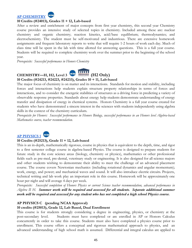



#### **10 Credits (#24013), Grades 11 + 12, Lab-based**

After a review and enrichment of major concepts from first year chemistry, this second year Chemistry course provides an intensive study of selected topics in chemistry. Included among these are: nuclear chemistry and organic chemistry; reaction kinetics, acid/base equilibrium; thermodynamics; and electrochemistry. The student must be self-motivated and industrious. There are extensive homework assignments and frequent laboratory reports to write that will require 1-2 hours of work each day. Much of class time will be spent in the lab with time allotted for answering questions. This is a full year course. Students will be required to complete chemistry work over the summer prior to the beginning of the school year.

*Prerequisite: Successful performance in Honors Chemistry*



## **10 Credits (#24213, #24223, #24233), Grades 10 + 11, Lab-based**

The major focus of chemistry is on matter and its interactions. Standards for motion and stability, including forces and interactions help students explain structure property relationships in terms of forces and interactions, and to consider the energetic stabilities of structures as a driving force in predicting a variety of observable response properties. Standards about energy help students demonstrate understanding of energy transfer and dissipation of energy in chemical systems. Honors Chemistry is a full year course created for students who have demonstrated a sincere interest in the sciences with students independently using algebra skills in the context of the chemistry curriculum.

Prerequisite for Honors: Successful performance in Honors Biology, successful performance in an Honors level Algebra-based *Mathematics course, teacher recommendation.*

## **[AP PHYSICS 1](https://apstudent.collegeboard.org/apcourse/ap-physics-1)**

#### **10 Credits (#25213), Grade 11 + 12, Lab-based**

This is an in-depth, mathematically rigorous, course in physics that is equivalent to the depth, time, and rigor to a first semester college course in algebra-based Physics. The course is designed to prepare students for future study in the core science areas (biology, chemistry or physics), mathematics or other professional fields such as pre-med, pre-dental, veterinary study or engineering. It is also designed for all science majors and other students wishing to demonstrate their ability to meet the challenge of an advanced placement course. The course covers Newtonian mechanics (including rotational dynamics and angular momentum); work, energy, and power; and mechanical waves and sound. It will also introduce electric circuits. Projects, technical writing and lab work play an important role in this course. Homework will be approximately one hour per night and will average 4 days per week.

*Prerequisite: Successful completion of Honors Physics or current Science teacher recommendation, advanced performance in Algebra II H. Summer work will be required and assessed for all students. Separate additional summer work will be required and assessed for any student who has not completed a high school Physics course.*

#### **AP PHYSICS C (pending NCAA Approval)**

#### **10 credits (#25013), Grade 12, Lab Based, Dual Enrollment**

This course is for students strongly considering a degree in engineering, physics, or chemistry at the post-secondary level. Students must have completed or are enrolled in AP or Honors Calculus concurrently in order to take this course. Students must also have completed a physics course prior to enrollment. This course offers a conceptual and rigorous mathematical approach to physics, and an advanced understanding of high school math is assumed. Differential and integral calculus are applied to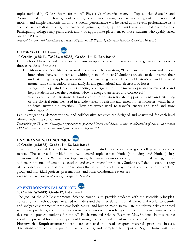topics outlined by College Board for the AP Physics C: Mechanics exam. Topics included are 1- and 2-dimensional motion, forces, work, energy, power, momentum, circular motion, gravitation, rotational motion, and simple harmonic motion. Students performance will be based upon several performance tasks such as investigation reports, homework assignments, tests, quizzes, mid-year and final examinations. Participating colleges may grant credit and / or appropriate placement to those students who qualify based on the AP Exam.

*Prerequisite: Successful completion of Honors Physics or AP Physics 1, placement into AP Calculus AB or BC*



#### **10 Credits (#25113, #25223, #25233), Grade 11 + 12, Lab-based**

High School Physics standards expect students to apply a variety of science and engineering practices to three core ideas of physics:

- 1. Motion and Stability: helps students answer the question, "How can one explain and predict interactions between objects and within systems of objects?" Students are able to demonstrate their understanding by applying scientific and engineering ideas related to Newton's second law, total momentum, conservation, system analysis, and gravitational and electrostatic forces.
- 2. Energy: develops students' understanding of energy at both the macroscopic and atomic scales, and helps students answer the question, "How is energy transferred and conserved?"
- 3. Waves and their Applications: technologies for information transfer support students' understanding of the physical principles used in a wide variety of existing and emerging technologies, which helps students answer the question, "How are waves used to transfer energy and send and store information?"

Lab investigations, demonstrations, and collaborative activities are designed and structured for each level offered within the curriculum.

Prerequisite for Honors: Successful performance in-previous Honors level Science course, or advanced performance in previous *H2 level science course, and successful performance in Algebra II H.*

## **ENVIRONMENTAL SCIENCE**

#### **10 Credits (#22533), Grade 11 + 12, Lab-based**

This is a full year lab based elective course designed for students who intend to go to college as non-science majors. The course is divided into two general topic areas: abiotic (non-living) and biotic (living) environmental factors. Within these topic areas, the course focuses on ecosystems, material cycling, human and environmental influences, succession, and environmental problems. Students will demonstrate mastery of the concepts by addressing authentic issues that affect the world today through completion of a variety of group and individual projects, presentations, and other collaborative exercises.

*Prerequisite: Successful completion of Biology or Chemistry*

#### **[AP ENVIRONMENTAL SCIENCE](https://apstudent.collegeboard.org/apcourse/ap-environmental-science)**

**10 Credits (#26013), Grade 12, Lab-based** The goal of the AP Environmental Science course is to provide students with the scientific principles, concepts, and methodologies required to understand the interrelationships of the natural world, to identify and analyze environmental problems both natural and human-made, to evaluate the relative risks associated with these problems, and to examine alternative solutions for resolving or preventing them. Coursework is designed to prepare students for the AP Environmental Science Exam in May. Students in this course

should be prepared for some independent learning due to the volume of material covered. **Homework Requirements**: Students are expected to read chapter material prior to in-class discussions, complete study guides, practice exams, and complete lab reports. Nightly homework can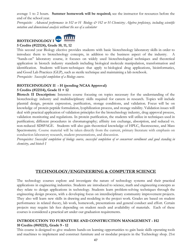average 1 to 2 hours. **Summer homework will be required;** see the instructor for resources before the end of the school year.

Prerequisite: Advanced performance in H2 or H Biology  $\mathcal O^*$  H2 or H Chemistry; Algebra proficiency, including scientific *notation and dimensional analysis without the use of a calculator*



#### **5 Credits (#22124), Grade 10, 11, 12**

This second year Biology elective provides students with basic biotechnology laboratory skills in order to introduce them to biotechnology concepts, in addition to the business aspect of the industry. "hands-on" laboratory course, it focuses on widely used biotechnological techniques and theoretical application in biotech industry standards including biological molecule manipulation, transformation and identification. Students will learn techniques that apply to biological drug applications, bioinformatics, and Good Lab Practices (GLP), such as sterile technique and maintaining a lab notebook.

*Prerequisite: Successful completion of a Biology course.*

#### **BIOTECHNOLOGY II - H (pending NCAA Approval)**

#### **5 Credits (#22114), Grade 11 + 12**

**Biotech II Description:** Intensive course focusing on topics necessary for the understanding of the biotechnology industry and multidisciplinary skills required for careers in research. Topics will include plasmid design, protein expression, purification, storage conditions, and validation. Focus will be on knowledge of protein peptide formulation, lyophilization process, and storage stability. Validation issues will deal with practical application of validation principles for the biotechnology industry, drug approval process, validation monitoring and regulations. In protein purification, the students will utilize in techniques used in purification; different procedures in chromatography; affinity ion exchange, absorption, and reduced vs. non-reduced SDSPAGE. Students will also gain theoretical knowledge of HPLC, fluorescence, and Mass Spectrometry. Course material will be taken directly from the current, primary literature with emphasis on conduction laboratory research, student presentations, and discussion.

Prerequisites: Successful completion of biology course, successful completion of or concurrent enrollment and good standing in *chemistry, and biotech I*

#### **TECHNOLOGY/ENGINEERING & COMPUTER SCIENCE**

The technology courses explore and investigate the nature of technology systems and their practical applications in engineering industries. Students are introduced to science, math and engineering concepts as they relate to design applications in technology. Students learn problem-solving techniques through the engineering design process, with a developing focus on interdisciplinary community improvement projects. They also will learn new skills in drawing and modeling in the project work. Grades are based on student performance in related theory, lab work, homework, presentations and general conduct and effort. Certain projects may require lab fees depending on student needs and availability of materials. Each of these courses is considered a practical art under our graduation requirements.

#### **INTRODUCTION TO FURNITURE AND CONSTRUCTION MANAGEMENT - H2 10 Credits (#69223), Grade 9 - 12**

This course is designed to give students hands-on learning opportunities to gain basic skills operating tools and machines to implement and construct furniture and or modular projects in the Technology shop. 21st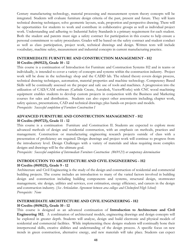Century manufacturing technology, material processing and measurement system theory concepts will be integrated. Students will evaluate furniture design criteria of the past, present and future. They will learn technical drawing techniques; solve geometric layouts, scale, proportion and perspective drawing. There will be opportunities for students to work and contribute in collaborative groups as well as individual project work. Understanding and adhering to Industrial Safety Standards is a primary requirement for each student. Both the student and parents must sign a safety contract for participation in this course to help ensure a personal commitment to safety procedures. Grades will be based on the safety contract and student conduct as well as class participation, project work, technical drawings and design. Written tests will include vocabulary, machine safety, measurement and industrial concepts in current manufacturing practice.

#### **INTERMEDIATE FURNITURE AND CONSTRUCTION MANAGEMENT - H2 10 Credits (#69123), Grade 10 - 12**

This course is a continuation of Introduction for Furniture and Construction Systems H2 and in teams or individually, is intended to cover a variety of concepts and systems within the construction industry. Project work will be done in the technology shop and the CADD lab. The related theory covers design process, technical drawing techniques, automation, material properties and machine technology. Competency Based Skills will be continually assessed on the proper and safe use of tools and machines. A progression into the utilization of CAD/CAM software (Carbide Create, Autodesk, VectorWorks) with CNC wood machining equipment enables students to develop custom projects in conjunction with the Business and Marketing courses for sales and distribution. Students can also expect other assessments including; chapter work, safety quizzes, presentations, CAD and technical drawings; plus hands-on projects and models. *Prerequisite: Successful completion of Furniture Construction I*

#### **ADVANCED FURNITURE AND CONSTRUCTION MANAGEMENT - H2 10 Credits (#69723), Grade 11 - 12**

This course is a continuation Furniture and Construction II. Students are expected to explore more advanced methods of design and residential construction, with an emphasis on methods, practices and management. Construction or manufacturing engineering research projects outside of class with a presentation of proficiency are required. Design drawings and project work will continue to progress from the introductory level. Design Challenges with a variety of materials and ideas requiring more complex designs and drawings will be the ultimate goal.

*Prerequisite: Successful completion of Intermediate Furniture Construction (#69123) or competency determination*

#### **INTRODUCTION TO ARCHITECTURE AND CIVIL ENGINEERING - H2 10 Credits (#69523), Grade 9 - 12**

Architecture and Civil Engineering is the study of the design and construction of residential and commercial building projects. The course includes an introduction to many of the varied factors involved in building design and construction including building components and systems, structural design, stormwater management, site design, utilities and services, cost estimation, energy efficiency, and careers in the design and construction industry. (*See Articulation Agreement between area colleges and Chelmsford High School) Prerequisite: None*

#### **INTERMEDIATE ARCHITECTURE AND CIVIL ENGINEERING - H2 10 Credits (#69623), Grade 10 - 12**

This course is designed as an advanced continuation of **Introduction to Architecture and Civil Engineering H2.** A combination of architectural models, engineering drawings and design concepts will be explored in greater depth. Students will analyze, design and build electronic and physical models of residential and commercial facilities. While implementing these designs students will continually hone their interpersonal skills, creative abilities and understanding of the design process. A specific focus on new trends in green construction, alternative energy, and new materials will take place. Students can expect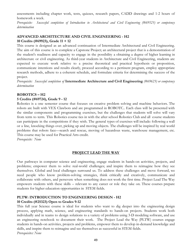assessments including chapter work, tests, quizzes, research papers, CADD drawings and 1-2 hours of homework a week.

*Prerequisite: Successful completion of Introduction to Architectural and Civil Engineering (#69523) or competency determination*

## **ADVANCED ARCHITECTURE AND CIVIL ENGINEERING - H2**

#### **10 Credits (#69923), Grade 11 + 12**

This course is designed as an advanced continuation of Intermediate Architectural and Civil Engineering. The aim of this course is to complete a Capstone Project; an architectural project that is a demonstration of the student's readiness and capacity to engage in the possibility a obtaining a degree of higher learning in architecture or civil engineering. As third-year students in Architecture and Civil Engineering, students are expected to execute work relative to a precise theoretical and practical hypothesis or proposition, communicate intentions and results clearly, proceed according to a pertinent program, employ appropriate research methods, adhere to a coherent schedule, and formulate criteria for determining the success of the project.

*Prerequisite: Successful completion of* **Intermediate Architecture and Civil Engineering** *(#69623) or competency determination*

## **ROBOTICS – H2**

#### **5 Credits (#69724), Grade 9 - 12**

Robotics is a one semester course that focuses on creative problem solving and machine behaviors. The robots are built with VEX Clawbots and are programmed in ROBOTC.. Each class will be presented with the similar components and programming exercises, but the challenges that students will solve will vary from term to term. This Robotics course ties in with the after school Robotics Club and all course students can participate in the competitions if they wish. The general types of exercises will include: following a wall or a line, knocking things over, picking up and moving objects. The challenges will be inspired by real world problems that robots face—search and rescue, moving of hazardous waste, warehouse management, etc. This course may be used for Practical Arts credit.

*Prerequisite: None*

#### **PROJECT LEAD THE WAY**

Our pathways in computer science and engineering, engage students in hands-on activities, projects, and problems; empower them to solve real-world challenges; and inspire them to reimagine how they see themselves. Global and local challenges surround us. To address these challenges and move forward, we need people who know problem-solving strategies, think critically and creatively, communicate and collaborate with others, and persevere when something does not work the first time. Project Lead The Way empowers students with these skills – relevant to any career or role they take on. These courses prepare students for higher education opportunities in STEM fields.

#### **PLTW: INTRODUCTION TO ENGINEERING DESIGN - H2**

#### **10 Credits (#25323) Open to Grades 9-12**

This full year Science course is ideal for students who want to dig deeper into the engineering design process, applying math, science, and engineering standards to hands-on projects. Students work both individually and in teams to design solutions to a variety of problems using 3-D modeling software, and use an engineering notebook to document their work. The Project Lead the Way (PLTW) courses engage students in hands-on activities, projects and problems, empower them to develop in-demand knowledge and skills, and inspire them to reimagine and see themselves as successful in STEM fields. *Prerequisites: None*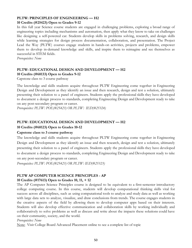## **PLTW: PRINCIPLES OF ENGINEERING — H2**

#### **10 Credits (#25423) Open to Grades 9-12**

In this full year Science course students are engaged in challenging problems, exploring a broad range of engineering topics including mechanisms and automation, then apply what they know to take on challenges like designing a self-powered car. Students develop skills in problems solving, research, and design skills while learning strategies for design process documentation, collaboration, and presentation. The Project Lead the Way (PLTW) courses engage students in hands-on activities, projects and problems, empower them to develop in-demand knowledge and skills, and inspire them to reimagine and see themselves as successful in STEM fields.

*Prerequisites: None*

#### **PLTW: EDUCATIONAL DESIGN AND DEVELOPMENT — H2 10 Credits (#68133) Open to Grades 9-12**

Capstone class to 3 course pathway

The knowledge and skills students acquire throughout PLTW Engineering come together in Engineering Design and Development as they identify an issue and then research, design and test a solution, ultimately presenting their solution to a panel of engineers. Students apply the professional skills they have developed to document a design process to standards, completing Engineering Design and Development ready to take on any post-secondary program or career.

*Prerequisites: PLTW: POE(#25423) OR PLTW: IED(#25324)*

#### **PLTW: EDUCATIONAL DESIGN AND DEVELOPMENT — H2**

#### **10 Credits (#68123) Open to Grades 10-12**

#### **Capstone class to 3 course pathway**

The knowledge and skills students acquire throughout PLTW Engineering come together in Engineering Design and Development as they identify an issue and then research, design and test a solution, ultimately presenting their solution to a panel of engineers. Students apply the professional skills they have developed to document a design process to standards, completing Engineering Design and Development ready to take on any post-secondary program or career.

*Prerequisites: PLTW: POE(#25423) OR PLTW: IED(#25323)*

## **PLTW AP COMPUTER SCIENCE PRINCIPLES - AP**

#### **10 Credits (#17613) Open to Grades 10, 11, + 12**

The AP Computer Science Principles course is designed to be equivalent to a first-semester introductory college computing course. In this course, students will develop computational thinking skills vital for success across all disciplines, such as using computational tools to analyze and study data as well as working with large data sets to analyze, visualize, and draw conclusions from trends. The course engages students in the creative aspects of the field by allowing them to develop computer apps based on their interests. Students will also develop effective communication and collaboration skills by working individually and collaboratively to solve problems as well as discuss and write about the impacts these solutions could have on their community, society, and the world.

#### *Prerequisites: None*

Note: Visit College Board Advanced Placement online to see a complete list of topic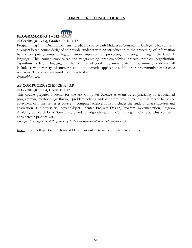#### **COMPUTER SCIENCE COURSES**



#### **10 Credits (#17723), Grades 10, 11, + 12**

Programming 1 is a Dual Enrollment 4 credit lab course with Middlesex Community College. This course is a project based course designed to provide students with an introduction to the processing of information by the computer, computer logic, memory, input/output processing, and programming in the C/C++ language. This course emphasizes the programming problem-solving process, problem organization, algorithms, coding, debugging and the elements of good programming style. Programming problems will include a wide variety of numeric and non-numeric applications. No prior programming experience necessary. This course is considered a practical art.

*Prerequisite: None*

#### **AP COMPUTER SCIENCE A - AP**

#### **10 Credits (#17513), Grade 11 + 12**

This course prepares students for the AP Computer Science A exam by emphasizing object-oriented programming methodology through problem solving and algorithm development and is meant to be the equivalent of a first-semester course in computer science. It also includes the study of data structures and abstraction. The course will cover Object-Oriented Program Design, Program Implementation, Program Analysis, Standard Data Structures, Standard Algorithms, and Computing in Context. This course is considered a practical art.

*Prerequisite: Completion of Programming 1, teacher recommendation and summer work*

Note: Visit College Board Advanced Placement online to see a complete list of topic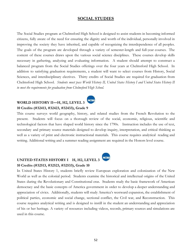#### <span id="page-52-0"></span>**SOCIAL STUDIES**

The Social Studies program at Chelmsford High School is designed to assist students in becoming informed citizens, fully aware of the need for ensuring the dignity and worth of the individual, personally involved in improving the society they have inherited, and capable of recognizing the interdependence of all peoples. The goals of the program are developed through a variety of semester-length and full-year courses. The content of these courses draws upon the various social science disciplines. These courses develop skills necessary in gathering, analyzing and evaluating information. A student should attempt to construct a balanced program from the Social Studies offerings over the four years at Chelmsford High School. In addition to satisfying graduation requirements, a student will want to select courses from History, Social Sciences, and interdisciplinary electives. Thirty credits of Social Studies are required for graduation from Chelmsford High School. *Students must pass World History II, United States History I and United States History II to meet the requirements for graduation from Chelmsford High School.*

#### **NCAA WORLD HISTORY II—H, H2, LEVEL 3 10 Credits (#32413, #32423, #32433), Grade 9**

This course surveys world geography, history, and related studies from the French Revolution to the present. Students will focus on a thorough review of the social, economic, religious, scientific and technological factors that have shaped world history since the 1790s. Instruction includes the use of text, secondary and primary source materials designed to develop inquiry, interpretation, and critical thinking as well as a variety of print and electronic instructional materials. This course requires analytical reading and writing. Additional writing and a summer reading assignment are required in the Honors level course.

#### **UNITED STATES HISTORY I H, H2, LEVEL 3 10 Credits (#32513, #32523, #32533), Grade 10**

In United States History 1, students briefly review European exploration and colonization of the New World as well as the colonial period. Students examine the historical and intellectual origins of the United States during the Revolutionary and Constitutional eras. Students study the basic framework of American democracy and the basic concepts of America government in order to develop a deeper understanding and appreciation of civics. Additionally, students will study America's westward expansion, the establishment of political parties, economic and social change, sectional conflict, the Civil war, and Reconstruction. This course requires analytical writing and is designed to instill in the student an understanding and appreciation of his or her heritage. A variety of resources including videos, records, primary sources and simulations are used in this course.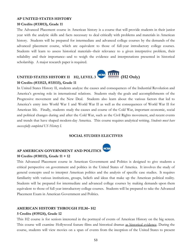#### **AP UNITED STATES HISTORY**

#### **10 Credits (#33013), Grade 11**

The Advanced Placement course in American history is a course that will provide students in their junior year with the analytic skills and facts necessary to deal critically with problems and materials in American history. Students will be prepared for intermediate and advanced college courses by the demands of the advanced placement course, which are equivalent to those of full-year introductory college courses. Students will learn to assess historical materials--their relevance to a given interpretive problem, their reliability and their importance--and to weigh the evidence and interpretations presented in historical scholarship. A major research paper is required.



#### **10 Credits (#33523, #33533), Grade 11**

In United States History II, students analyze the causes and consequences of the Industrial Revolution and America's growing role in international relations. Students study the goals and accomplishments of the Progressive movement and the New Deal. Students also learn about the various factors that led to America's entry into World War I and World War II as well as the consequences of World War II for American life. Finally, students study the causes and course of the Cold War, important economic, social and political changes during and after the Cold War, such as the Civil Rights movement, and recent events and trends that have shaped modern-day America. This course requires analytical writing. *Students must have successfully completed US History I.*

#### **SOCIAL STUDIES ELECTIVES**

**NCAL** 

## **AP AMERICAN GOVERNMENT AND POLITICS 10 Credits (#38113), Grade 11 + 12**

This Advanced Placement course in American Government and Politics is designed to give students a critical perspective on government and politics in the United States of America. It involves the study of general concepts used to interpret American politics and the analysis of specific case studies. It requires familiarity with various institutions, groups, beliefs and ideas that make up the American political reality. Students will be prepared for intermediate and advanced college courses by making demands upon them equivalent to those of full year introductory college courses. Students will be prepared to take the Advanced Placement Exam in American Government and Politics.

#### **AMERICAN HISTORY THROUGH FILM– H2 5 Credits (#39124), Grade 12**

This H2 course is for seniors interested in the portrayal of events of American History on the big screen. This course will examine Hollywood feature films and historical dramas as historical evidence. During the course, students will view movies on a span of events from the inception of the United States to present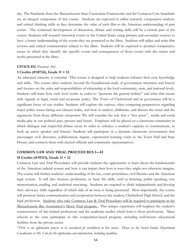day. The Standards from the Massachusetts State Curriculum Frameworks and the Common Core Standards are an integral component of this course. Students are expected to utilize research, comparative analysis, and critical thinking skills as they determine the value of each film to the American understanding of past events. The continued development of discussion, debate and writing skills will be a central part of the course. Students will research historical events in the United States using primary and secondary sources to have a better understanding of the events they see portrayed in the films. Students will utilize and write film reviews and critical commentaries related to the films. Students will be expected to produce comparative essays in which they identify the specific events and consequences of those events with the stories and myths presented in the films.

#### **CIVICS-H2** *(Practical Art)*

#### **5 Credits (#38724), Grade 11 + 12**

An educated citizenry is essential. This course is designed to help students enhance their civic knowledge and skills.. The course takes students beyond the foundational study of government structures and history and focuses on the roles and responsibilities of citizenship at the local community, state, and national levels. Students will learn how each level works in order to "promote the general welfare" and what that means with regards to legal, social and economic policy. The Town of Chelmsford and its governance will be a significant focus of our studies. Students will explore the various, often competing perspectives regarding major policy issues facing our citizens today, and how to analyze, deliberate, and discuss the issues and the arguments from those different viewpoints. We will consider the role that a "free press", media and social media play in our political past, present and future. Emphasis will be placed on a classroom community in which dialogue and respectful debate occur in order to enhance a student's capacity to communicate, as both an active speaker and listener. Students will participate in a dynamic classroom environment that encourages civil discourse, collaboration, inquiry, experiential learning (visits to the Town Hall and State House) and connects them with elected officials and community representatives.

#### **COMMON LAW AND TRIAL PROCEDURES I—H**

#### **10 Credits (#39313), Grade 11 + 12**

Common Law and Trial Procedures will provide students the opportunity to learn about the fundamentals of the American judicial system and how it can impact their lives in ways they might not otherwise imagine. The course will further students' understanding of the law, court procedures, civil liberties and the American legal system. It will also increase proficiency in basic life skills, such as listening, public speaking, rote memorization, reading, and analytical reasoning. Students are required to think independently and develop their advocacy skills regardless of which side of an issue is being presented. Most importantly, the course will promote better communication and cooperation between the student, Chelmsford High School, and the legal profession. Students who take Common Law & Trial Procedures will be required to participate in the Massachusetts Bar Association's Mock Trial program. This unique experience will heighten the student's consciousness of law-related professions and the academic studies which lead to those professions. Many schools in the state participate in this competition-based program, including well-known educational facilities from the private sector.

\*There is an application process to be considered for enrollment in this course. Please see the Social Studies Department *Coordinator or Mr. Cole for the application and information, including deadlines.*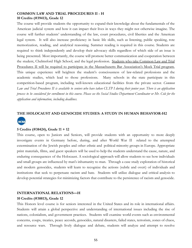#### **COMMON LAW AND TRIAL PROCEDURES II - H 10 Credits (#39413), Grade 12**

The course will provide students the opportunity to expand their knowledge about the fundamentals of the American judicial system and how it can impact their lives in ways they might not otherwise imagine. The course will further students' understanding of the law, court procedures, civil liberties and the American legal system. It will also increase proficiency in basic life skills, such as listening, public speaking, rote memorization, reading, and analytical reasoning. Summer reading is required in this course. Students are required to think independently and develop their advocacy skills regardless of which side of an issue is being presented. Most importantly, the course will promote better communication and cooperation between the student, Chelmsford High School, and the legal profession. Students who take Common Law and Trial Procedures II will be required to participate in the Massachusetts Bar Association's Mock Trial program. This unique experience will heighten the student's consciousness of law-related professions and the academic studies, which lead to those professions. Many schools in the state participate in this competition-based program, including well-known educational facilities from the private sector. *Common* Law and Trial Procedures II is available to seniors who have taken CLTP I during their junior year. There is an application process to be considered for enrollment in this course. Please see the Social Studies Department Coordinator or Mr. Cole for the *application and information, including deadlines.*

## **THE HOLOCAUST AND GENOCIDE STUDIES: A STUDY IN HUMAN BEHAVIOR-H2 NCAA**

#### **5 Credits (#38424), Grade 11 + 12**

This course, open to Juniors and Seniors, will provide students with an opportunity to more deeply investigate events in Germany before, during, and after World War II related to the attempted extermination of the Jewish peoples and other ethnic and political minority groups in Europe. Appropriate print materials, films, and guest speakers will be used to help the students understand the cause, nature, and enduring consequences of the Holocaust. A sociological approach will allow students to see how individuals and small groups are influenced by man's inhumanity to man. Through a case study exploration of historical and modern genocides, students will learn to recognize the actions (subtle and overt) of individuals and institutions that seek to perpetuate racism and hate. Students will utilize dialogue and critical analysis to develop potential strategies for minimizing factors that contribute to the persistence of racism and genocide.

## **INTERNATIONAL RELATIONS—H**

#### **10 Credits (#38813), Grade 12**

This Honors level course is for seniors interested in the United States and its role in international affairs. Students will attain a global perspective and understanding of international issues including the rise of nations, colonialism, and government practices. Students will examine world events such as environmental concerns, coups, treaties, peace accords, genocides, natural disasters, failed states, terrorism, zones of chaos, and resource wars. Through lively dialogue and debate, students will analyze and attempt to resolve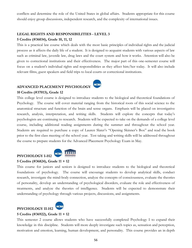conflicts and determine the role of the United States in global affairs. Students appropriate for this course should enjoy group discussions, independent research, and the complexity of international issues.

#### **LEGAL RIGHTS AND RESPONSIBILITIES - LEVEL 3**

#### **5 Credits (#36034), Grade 10, 11, 12**

This is a practical law course which deals with the most basic principles of individual rights and the judicial process as it affects the daily life of a student. It is designed to acquaint students with various aspects of law such as criminal law, juvenile law, drug laws and the court system and how it works. Attention will also be given to correctional institutions and their effectiveness. The major part of this one-semester course will focus on a student's individual rights and responsibilities as they affect him/her today. It will also include relevant films, guest speakers and field trips to local courts or correctional institutions.

## **ADVANCED PLACEMENT PSYCHOLOGY**



#### **10 Credits (#37013), Grade 12**

This college level course is designed to introduce students to the biological and theoretical foundations of Psychology. The course will cover material ranging from the historical roots of this social science to the anatomical structure and function of the brain and sense organs. Emphasis will be placed on investigative research, analysis, interpretation, and writing skills. Students will explore the concepts that today's psychologists are continuing to research. Students will be expected to take on the demands of a college level course, including additional reading assignments during the summer and throughout the school year. Students are required to purchase a copy of Lauren Slater's "Opening Skinner's Box" and read the book prior to the first class meeting of the school year. Test taking and writing skills will be addressed throughout the course to prepare students for the Advanced Placement Psychology Exam in May.



## **PSYCHOLOGY I-H2**

**5 Credits (#36824), Grade 11 + 12**

This course for juniors and seniors is designed to introduce students to the biological and theoretical foundations of psychology. The course will encourage students to develop analytical skills, conduct research, investigate the mind-body connection, analyze the concepts of consciousness, evaluate the theories of personality, develop an understanding of psychological disorders, evaluate the role and effectiveness of treatments, and analyze the theories of intelligence. Students will be expected to demonstrate their understanding of psychology through various projects, discussions, and assignments.



## **PSYCHOLOGY II-H2**

#### **5 Credits (#36922), Grade 11 + 12**

This semester 2 course allows students who have successfully completed Psychology I to expand their knowledge in this discipline. Students will more deeply investigate such topics as, sensation and perception, motivation and emotion, learning, human development, and personality. This course provides an in depth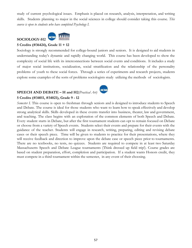study of current psychological issues. Emphasis is placed on research, analysis, interpretation, and writing skills. Students planning to major in the social sciences in college should consider taking this course. *This course is open to students who have completed Psychology I.*

## **SOCIOLOGY-H2**



#### **5 Credits (#36424), Grade 11 + 12**

Sociology is strongly recommended for college-bound juniors and seniors. It is designed to aid students in understanding today's dynamic and rapidly changing world. This course has been developed to show the complexity of social life with its interconnections between social events and conditions. It includes a study of major social institutions, socialization, social stratification and the relationship of the personality problems of youth to these social forces. Through a series of experiments and research projects, students explore some examples of the sorts of problems sociologists study utilizing the methods of sociologists.

## **SPEECH AND DEBATE – H and H2***(Practical Art)*



*Semester I.* This course is open to freshman through seniors and is designed to introduce students to Speech and Debate. The course is ideal for those students who want to learn how to speak effectively and develop strong analytical skills. Skills developed in these events transfer into business, theater, law and government, and teaching. The class begins with an exploration of the common elements of both Speech and Debate. Every student starts in Debate, but after the first tournament students can opt to remain focused on Debate or choose from a variety of Speech events. Students select their events and prepare for their events with the guidance of the teacher. Students will engage in research, writing, preparing, editing and revising debate cases or their speech piece. Time will be given to students to practice for their presentations, where they will receive feedback and direction to improve upon the debate case or speech piece prior to tournaments. There are no textbooks, no tests, no quizzes. Students are required to compete in at least two Saturday Massachusetts Speech and Debate League tournaments (Think dressed up field trip!). Course grades are based on student preparation, effort, completion and participation. If a student wants Honors credit, they must compete in a third tournament within the semester, in any event of their choosing.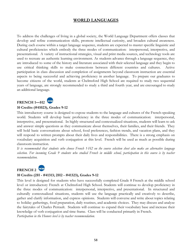## <span id="page-58-0"></span>**WORLD LANGUAGES**

To address the challenges of living in a global society, the World Language Department offers classes that develop and refine communication skills, promote intellectual curiosity, and broaden cultural awareness. During each course within a target language sequence, students are expected to master specific linguistic and cultural proficiencies which embody the three modes of communication: interpersonal, interpretive, and presentational. A variety of instructional strategies, visual and print media sources, and technology tools are used to recreate an authentic learning environment. As students advance through a language sequence, they are introduced to some of the history and literature associated with their selected language and they begin to use critical thinking skills to make connections between different countries and cultures. Active participation in class discussion and completion of assignments beyond classroom instruction are essential aspects to being successful and achieving proficiency in another language. To prepare our graduates to become citizens of the world, students at Chelmsford High School are required to study two sequential years of language, are strongly recommended to study a third and fourth year, and are encouraged to study an additional language.

## **FRENCH 1—H2**

#### **10 Credits (#41023), Grades 9-12**

This introductory course is designed to expose students to the language and cultures of the French-speaking world. Students will develop basic proficiency in the three modes of communication: interpersonal, interpretive, and presentational. In highly structured and contextualized situations, students will learn to ask and answer simple questions as they communicate about themselves, their families, and their friends. They will hold basic conversations about school, food preferences, fashion trends, and vacation plans, and they will respond to written prompts about their daily lives and responsibilities. There is a strong emphasis on vocabulary acquisition and verb conjugation at this level. French will be used as much as possible during classroom instruction.

It is recommended that students who choose French 1-H2 on the course selection sheet also make an alternative language selection. For incoming Grade 9 students who studied French in middle school, participation in this course is by teacher *recommendation.*

## **FRENCH 2**

#### **10 Credits (2H - #41313; 2H2 - #41323), Grades 9-12**

This level is designed for students who have successfully completed Grade 8 French at the middle school level or introductory French at Chelmsford High School. Students will continue to develop proficiency in the three modes of communication: interpersonal, interpretive, and presentational. In structured and culturally contextualized situations, students will use the language practically and creatively to describe, gather and clarify information, and express opinions. Students will converse and write about topics relating to holiday gatherings, food preparation, daily routines, and academic choices. They may discuss and analyze the fairytales of Charles Perrault. Students will continue to expand their vocabulary base and increase their knowledge of verb conjugation and time frame. Class will be conducted primarily in French. *Participation in the Honors level is by teacher recommendation.*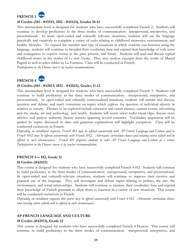

#### **10 Credits (3H - #41513; 3H2 - #41523), Grades 10-12**

This intermediate level is designed for students who have successfully completed French 2. Students will continue to develop proficiency in the three modes of communication: interpersonal, interpretive, and presentational. In more open-ended and culturally relevant situations, students will use the language practically and creatively to complete a variety of tasks relating to childhood memories, entertainment, and healthy lifestyles. To expand the number and type of situations in which students can function using the language, students will continue to broaden their vocabulary base and expand their knowledge of verb tense and conjugation to express events in the past, present, and future. Students will read and discuss typical childhood antics in the stories of *Le petit Nicolas*. They may analyze excerpts from the works of Marcel Pagnol as well as select fables by La Fontaine. Class will be conducted in French.

*Participation in the Honors level is by teacher recommendation.*

#### **ACAA FRENCH 4**

## **10 Credits (4H - #42013; 4H2 - #42023), Grades 11-12**

This intermediate level is designed for students who have successfully completed French 3. Students will continue to build proficiency in the three modes of communication: interpersonal, interpretive, and presentational. In open-ended and culturally contextualized situations, students will narrate and discuss, question and debate, and reach consensus on topics which explore the question of individual identity in relation to society. Themes to be explored include education and career choices, current events, advertising and the media, art and technology, and health. Students will watch select audio visual clips, discuss news articles, and analyze authentic literary sources spanning several centuries. Vocabulary acquisition will be guided by topics discussed in class and grammar explanations will highlight exceptions. Class will be conducted exclusively in French.

Depending on enrollment requests, French 4H may be offered concurrently with AP French Language and Culture and/or French 4H2 may be offered concurrently with French 5H2. Alternative curriculum choices and rotating course syllabi will be offered in such circumstances. French 4H prepares students to take AP French Language and Culture as a senior. *Participation in the Honors course is by teacher recommendation.*

#### **FRENCH 5— H2, Grade 12**

#### **10 Credits (#42423)**

This course is designed for students who have successfully completed French 4-H2. Students will continue to build proficiency in the three modes of communication: interpersonal, interpretive, and presentational. In open-ended and culturally-relevant situations, students will continue to improve their creative and practical use of the language. They will investigate and debate topics relating to politics, the arts, the environment, and social relationships. Students will continue to increase their vocabulary base and expand their knowledge of French grammar to allow them to function in a variety of new situations. This course will be conducted exclusively in French.

Depending on enrollment requests, this course may be offered concurrently with French 4-H2. Alternative curriculum choices *and rotating course syllabi will be offered in such circumstances.*

#### **AP FRENCH LANGUAGE AND CULTURE**

#### **10 Credits (#42913), Grade 12**

This course is designed for students who have successfully completed French 4 Honors. This course will continue to build proficiency in the three modes of communication: interpersonal, interpretive, and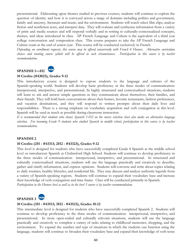presentational. Elaborating upon themes studied in previous courses, students will continue to explore the question of identity and how it is conveyed across a range of domains including politics and government, family and ancestry, literature and music, and the environment. Students will watch select film clips, analyze fiction and nonfiction texts, and interpret data. They will evaluate and synthesize information from a variety of print and media sources and will respond verbally and in writing to culturally-contextualized concepts, themes, and ideas introduced in class. AP French Language and Culture is the equivalent of a third year college conversation and composition class. This course prepares to take the AP French Language and Culture exam at the end of senior year. This course will be conducted exclusively in French.

Depending on enrollment requests, this course may be offered concurrently with French 4 Honors. Alternative curriculum choices and rotating course syllabi will be offered in such circumstances. Participation in this course is by teacher *recommendation.*

#### **NCA4 SPANISH 1—H2**

#### **10 Credits (#43023), Grades 9-12**

This introductory course is designed to expose students to the language and cultures of the Spanish-speaking world. Students will develop basic proficiency in the three modes of communication: interpersonal, interpretive, and presentational. In highly structured and contextualized situations, students will learn to ask and answer simple questions as they communicate about themselves, their families, and their friends. They will hold basic conversations about their homes, favorite restaurants, fashion preferences, and vacation destinations, and they will respond to written prompts about their daily lives and responsibilities. There is a strong emphasis on vocabulary acquisition and verb conjugation at this level. Spanish will be used as much as possible during classroom instruction.

It is recommended that students who choose Spanish 1-H2 on the course selection sheet also make an alternative language selection. For incoming Grade 9 students who studied Spanish in middle school, participation in this course is by teacher *recommendation.*

#### **SPANISH 2**

#### **10 Credits (2H - #43313; 2H2 - #43323), Grades 9-12**

This level is designed for students who have successfully completed Grade 8 Spanish at the middle school level or introductory Spanish at Chelmsford High School. Students will continue to develop proficiency in the three modes of communication: interpersonal, interpretive, and presentational. In structured and culturally contextualized situations, students will use the language practically and creatively to describe, gather and clarify information, and express opinions. Students will converse and write about topics relating to daily routines, healthy lifestyles, and residential life. They may discuss and analyze authentic legends from a variety of Spanish-speaking regions. Students will continue to expand their vocabulary base and increase their knowledge of verb conjugation and time frame. Class will be conducted primarily in Spanish. *Participation in the Honors level as well as in the level 3 course is by teacher recommendation.*



#### **10 Credits (3H - #43513; 3H2 - #43523), Grades 10-12**

This intermediate level is designed for students who have successfully completed Spanish 2. Students will continue to develop proficiency in the three modes of communication: interpersonal, interpretive, and presentational. In more open-ended and culturally relevant situations, students will use the language practically and creatively to complete a variety of tasks relating to childhood memories, shopping, and the environment. To expand the number and type of situations in which the students can function using the language, students will continue to broaden their vocabulary base and expand their knowledge of verb tense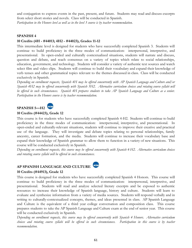and conjugation to express events in the past, present, and future. Students may read and discuss excerpts from select short stories and novels. Class will be conducted in Spanish. *Participation in the Honors level as well as in the level 3 course is by teacher recommendation.*

#### **SPANISH 4**

#### **10 Credits (4H - #44013; 4H2 - #44023), Grades 11-12**

This intermediate level is designed for students who have successfully completed Spanish 3. Students will continue to build proficiency in the three modes of communication: interpersonal, interpretive, and presentational. In open-ended and culturally contextualized situations, students will narrate and discuss, question and debate, and reach consensus on a variety of topics which relate to social relationships, education, government, and technology. Students will consider a variety of authentic text sources and watch select film and video clips. Students will continue to build their vocabulary and expand their knowledge of verb tenses and other grammatical topics relevant to the themes discussed in class. Class will be conducted exclusively in Spanish.

Depending on enrollment requests, Spanish 4H may be offered concurrently with AP Spanish Language and Culture and/or Spanish 4H2 may be offered concurrently with Spanish 5H2. Alternative curriculum choices and rotating course syllabi will be offered in such circumstances. Spanish 4H prepares students to take AP Spanish Language and Culture as a senior. *Participation in the Honors course is by teacher recommendation.*



#### **10 Credits (#44423), Grade 12**

This course is for students who have successfully completed Spanish 4-H2. Students will continue to build proficiency in the three modes of communication: interpersonal, interpretive, and presentational. In open-ended and culturally-relevant situations, students will continue to improve their creative and practical use of the language. They will investigate and debate topics relating to personal relationships, family ancestry, career formation, and the media. Students will continue to increase their vocabulary base and expand their knowledge of Spanish grammar to allow them to function in a variety of new situations. This course will be conducted exclusively in Spanish.

Depending on enrollment requests, this course may be offered concurrently with Spanish 4-H2. Alternative curriculum choices *and rotating course syllabi will be offered in such circumstances.*

#### **AP SPANISH LANGUAGE AND CULTURE**



#### **10 Credits (#44913), Grade 12**

This course is designed for students who have successfully completed Spanish 4 Honors. This course will continue to build proficiency in the three modes of communication: interpersonal, interpretive, and presentational. Students will read and analyze selected literary excerpts and be exposed to authentic resources to increase their knowledge of Spanish language, history and culture. Students will learn to evaluate and synthesize information from a variety of media sources. Students will respond verbally and in writing to culturally-contextualized concepts, themes, and ideas presented in class. AP Spanish Language and Culture is the equivalent of a third year college conversation and composition class. This course prepares students to take the AP Spanish Language and Culture exam at the end of senior year. This course will be conducted exclusively in Spanish.

Depending on enrollment requests, this course may be offered concurrently with Spanish 4 Honors. Alternative curriculum choices and rotating course syllabi will be offered in such circumstances. Participation in this course is by teacher *recommendation.*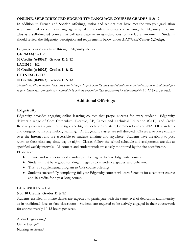#### **ONLINE, SELF-DIRECTED EDGENUITY LANGUAGE COURSES GRADES 11 & 12:**

In addition to French and Spanish offerings, junior and seniors that have met the two-year graduation requirement of a continuous language, may take one online language course using the Edgenuity program. This is a self-directed course that will take place in an asynchronous, online lab environment. Students should review the Edgenuity description and requirements below under *Additional Course Offerings.*

Language courses available through Edgenuity include:

**GERMAN 1 - H2 10 Credits (#48023), Grades 11 & 12 LATIN 1 - H2 10 Credits (#46023), Grades 11 & 12 CHINESE 1 - H2 10 Credits (#49023), Grades 11 & 12**

Students enrolled in online classes are expected to participate with the same level of dedication and intensity as in traditional face *to face classrooms. Students are required to be actively engaged in their coursework for approximately 10-12 hours per week*.

## **Additional Offerings**

## **Edgenuity**

Edgenuity provides engaging online learning courses that propel success for every student. Edgenuity delivers a range of Core Curriculum, Elective, AP, Career and Technical Education (CTE), and Credit Recovery courses aligned to the rigor and high expectations of state, Common Core and iNACOL standards and designed to inspire lifelong learning. All Edgenuity classes are self-directed. Classes take place entirely over the Internet and are accessible to students anytime and anywhere. Students have the ability to post work to their class any time, day or night. Classes follow the school schedule and assignments are due at specified weekly intervals. All courses and student work are closely monitored by the site coordinator. Please note:

- Juniors and seniors in good standing will be eligible to take Edgenuity courses.
- Students must be in good standing in regards to attendance, grades, and behavior.
- This is a supplemental program to CPS course offerings.
- Students successfully completing full-year Edgenuity courses will earn 5 credits for a semester course and 10 credits for a year-long course.

#### **EDGENUITY - H2**

#### **5 or 10 Credits, Grades 11 & 12**

Students enrolled in online classes are expected to participate with the same level of dedication and intensity as in traditional face to face classrooms. Students are required to be actively engaged in their coursework for approximately 10-12 hours per week.

Audio Engineering\* Game Design\* Nursing Assistant\*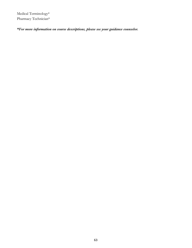Medical Terminology\* Pharmacy Technician\*

*\*For more information on course descriptions, please see your guidance counselor.*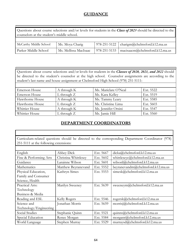## <span id="page-64-0"></span>**GUIDANCE**

Questions about course selections and/or levels for students in the *Class of 2023* should be directed to the counselors at the student's middle school.

| McCarthy Middle School | Ms. Moya Charig       | 978-251-5122   charigm@chelmsford.k12.ma.us       |
|------------------------|-----------------------|---------------------------------------------------|
| Parker Middle School   | Ms. Mellissa MacIsaac | 978-251-5133   macisaacm $@$ chelmsford.k12.ma.us |

Questions about course selections and/or levels for students in the *Classes of 2020, 2021, and 2022* should be directed to the student's counselor at the high school. Counselor assignments are according to the student's last name and house assignment at Chelmsford High School (978) 251-5111:

| <b>Emerson House</b> | A through K     | Ms. Mariclare O'Neal | Ext. 5522 |
|----------------------|-----------------|----------------------|-----------|
| <b>Emerson House</b> | $L$ through $Z$ | Ms. Kara Kelley      | Ext. 5519 |
| Hawthorne House      | A through K     | Ms. Tammy Leary      | Ext. 5585 |
| Hawthorne House      | $L$ through $Z$ | Ms. Christine Lima   | Ext. 5603 |
| Whittier House       | A through K     | Ms. Jennifer Orsini  | Ext. 5547 |
| Whittier House       | $L$ through $Z$ | Ms. Jamie Hill       | Ext. 5560 |

## <span id="page-64-1"></span>**DEPARTMENT COORDINATORS**

Curriculum-related questions should be directed to the corresponding Department Coordinator (978) 251-5111 at the following extensions:

| English                | <b>Abbey Dick</b>    | Ext. 5667 | dicka@chelmsford.k12.ma.us        |
|------------------------|----------------------|-----------|-----------------------------------|
| Fine & Performing Arts | Christina Whittlesey | Ext. 5602 | whittleseyc@chelmsford.k12.ma.us  |
| Guidance               | Larainne Wilson      | Ext. 5601 | wilsonl@chelmsford.k12.ma.us      |
| Mathematics            | Matthew Beyranevand  | Ext. 5552 | beyranevandm@chelmsford.k12.ma.us |
| Physical Education,    | Kathryn Simes        | Ext. 5553 | simesk@chelmsford.k12.ma.us       |
| Family and Consumer    |                      |           |                                   |
| Science, Health        |                      |           |                                   |
| Practical Arts:        | Marilyn Sweeney      | Ext. 5639 | sweeneym@chelmsford.k12.ma.us     |
| Technology             |                      |           |                                   |
| Business & Media       |                      |           |                                   |
| Reading and ESL        | Kelly Rogers         | Ext. 5546 | rogersk@chelmsford.k12.ma.us      |
| Science and            | Jonathan Morris      | Ext. 5659 | morrisj@chelmsford.k12.ma.us      |
| Technology/Engineering |                      |           |                                   |
| Social Studies         | Stephanie Quinn      | Ext. 5521 | quinns@chelmsford.k12.ma.us       |
| Special Education      | Renee Morgan         | Ext. 5584 | morganr@chelmsford.k12.ma.us      |
| World Language         | Stephen Murray       | Ext. 5529 | murraysd@chelmsford.k12.ma.us     |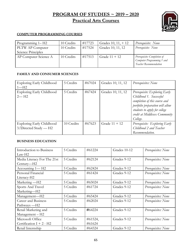## <span id="page-65-0"></span>**PROGRAM OF STUDIES ~ 2019 – 2020 Practical Arts Courses**



#### **COMPUTER PROGRAMMING COURSES**

| Programming 1– H2     | 10 Credits | #17723 | Grades $10, 11, +12$ | Prerequisite: None                                                                  |
|-----------------------|------------|--------|----------------------|-------------------------------------------------------------------------------------|
| PLTW AP Computer      | 10 Credits | #17524 | Grades 10, 11, 12    | Prerequisite: None                                                                  |
| Science Principles    |            |        |                      |                                                                                     |
| AP Computer Science A | 10 Credits | #17513 | Grade $11 + 12$      | Prerequisite: Completion of<br>Computer Programming 1 and<br>Teacher Recommendation |

#### **FAMILY AND CONSUMER SCIENCES**

| Exploring Early Childhood             | 5 Credits  | #67024 | Grades 10, 11, 12 | Prerequisites: None                                      |
|---------------------------------------|------------|--------|-------------------|----------------------------------------------------------|
| $1 - H2$                              |            |        |                   |                                                          |
| Exploring Early Childhood<br>$2 - H2$ | 5 Credits  | #67424 | Grades 10, 11, 12 | Prerequisite: Exploring Early                            |
|                                       |            |        |                   | Childhood 1. Successful<br>completion of this course and |
|                                       |            |        |                   | portfolio preparation will allow                         |
|                                       |            |        |                   | students to apply for college                            |
|                                       |            |        |                   | credit at Middlesex Community                            |
|                                       |            |        |                   | College.                                                 |
| Exploring Early Childhood             | 10 Credits | #67623 | Grade $11 + 12$   | Prerequisite: Exploring Early                            |
| $3/Directed$ Study — H2               |            |        |                   | Childhood 2 and Teacher                                  |
|                                       |            |        |                   | Recommendation.                                          |

#### **BUSINESS EDUCATION**

| Introduction to Business    | 5 Credits | #61224  | Grades 10-12 | Prerequisites: None |
|-----------------------------|-----------|---------|--------------|---------------------|
| $Law-H2$                    |           |         |              |                     |
| Media Literacy For The 21st | 5 Credits | #62124  | Grades 9-12  | Prerequisites: None |
| Century—H2                  |           |         |              |                     |
| Accounting 1—H <sub>2</sub> | 5 Credits | #62424  | Grades 9-12  | Prerequisites: None |
| Personal Financial          | 5 Credits | #61424  | Grades 9-12  | Prerequisites: None |
| Literacy-H2                 |           |         |              |                     |
| Marketing — H2              | 5 Credits | #65024  | Grades 9-12  | Prerequisites: None |
| Sports And Travel           | 5 Credits | #61724  | Grades 9-12  | Prerequisites: None |
| Marketing-H2                |           |         |              |                     |
| Management-H2               | 5 Credits | #65424  | Grades 9-12  | Prerequisites: None |
| <b>Career and Business</b>  | 5 Credits | #62024  | Grades 9-12  | Prerequisites: None |
| Pathways -H2                |           |         |              |                     |
| Retail Marketing and        | 5 Credits | #64224  | Grades 9-12  | Prerequisites: None |
| Management - H2             |           |         |              |                     |
| Microsoft Office            | 5 Credits | #61524, | Grades 9-12  | Prerequisites: None |
| Certification $I + 2 - H2$  |           | #61624  |              |                     |
| Retail Internship           | 5 Credits | #64324  | Grades 9-12  | Prerequisites: None |